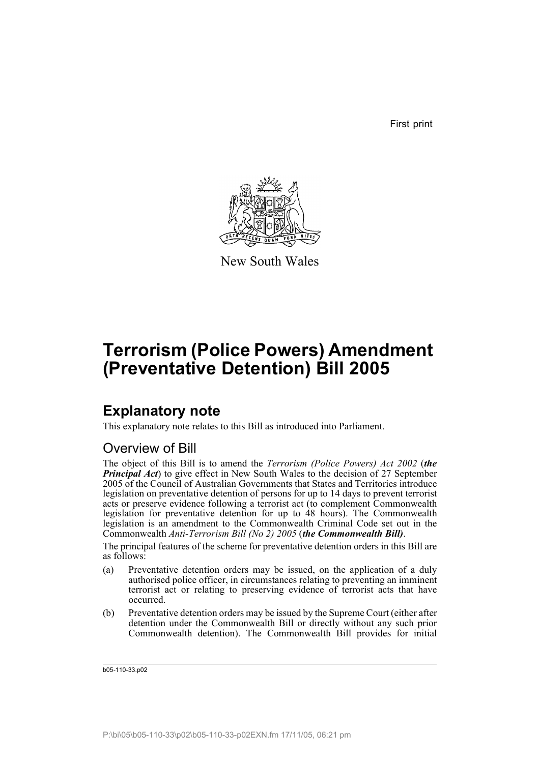First print



New South Wales

# **Terrorism (Police Powers) Amendment (Preventative Detention) Bill 2005**

# **Explanatory note**

This explanatory note relates to this Bill as introduced into Parliament.

## Overview of Bill

The object of this Bill is to amend the *Terrorism (Police Powers) Act 2002* (*the Principal Act*) to give effect in New South Wales to the decision of 27 September 2005 of the Council of Australian Governments that States and Territories introduce legislation on preventative detention of persons for up to 14 days to prevent terrorist acts or preserve evidence following a terrorist act (to complement Commonwealth legislation for preventative detention for up to 48 hours). The Commonwealth legislation is an amendment to the Commonwealth Criminal Code set out in the Commonwealth *Anti-Terrorism Bill (No 2) 2005* (*the Commonwealth Bill)*.

The principal features of the scheme for preventative detention orders in this Bill are as follows:

- (a) Preventative detention orders may be issued, on the application of a duly authorised police officer, in circumstances relating to preventing an imminent terrorist act or relating to preserving evidence of terrorist acts that have occurred.
- (b) Preventative detention orders may be issued by the Supreme Court (either after detention under the Commonwealth Bill or directly without any such prior Commonwealth detention). The Commonwealth Bill provides for initial

b05-110-33.p02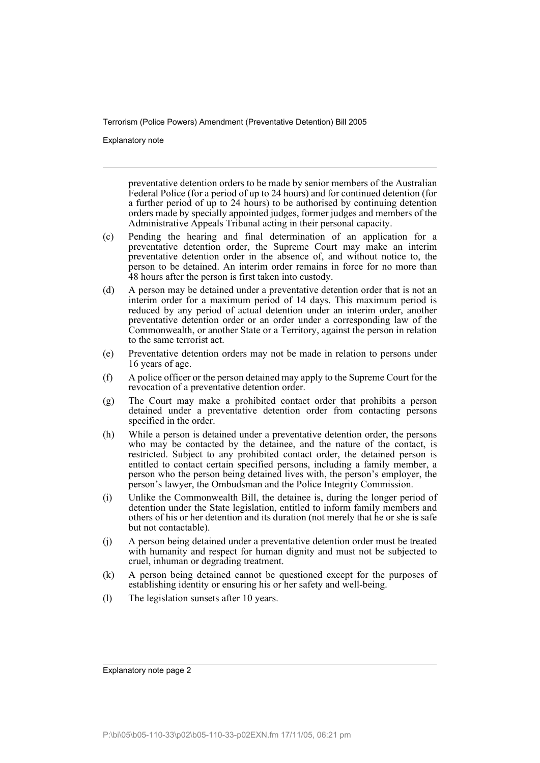Explanatory note

preventative detention orders to be made by senior members of the Australian Federal Police (for a period of up to 24 hours) and for continued detention (for a further period of up to 24 hours) to be authorised by continuing detention orders made by specially appointed judges, former judges and members of the Administrative Appeals Tribunal acting in their personal capacity.

- (c) Pending the hearing and final determination of an application for a preventative detention order, the Supreme Court may make an interim preventative detention order in the absence of, and without notice to, the person to be detained. An interim order remains in force for no more than 48 hours after the person is first taken into custody.
- (d) A person may be detained under a preventative detention order that is not an interim order for a maximum period of 14 days. This maximum period is reduced by any period of actual detention under an interim order, another preventative detention order or an order under a corresponding law of the Commonwealth, or another State or a Territory, against the person in relation to the same terrorist act.
- (e) Preventative detention orders may not be made in relation to persons under 16 years of age.
- (f) A police officer or the person detained may apply to the Supreme Court for the revocation of a preventative detention order.
- (g) The Court may make a prohibited contact order that prohibits a person detained under a preventative detention order from contacting persons specified in the order.
- (h) While a person is detained under a preventative detention order, the persons who may be contacted by the detainee, and the nature of the contact, is restricted. Subject to any prohibited contact order, the detained person is entitled to contact certain specified persons, including a family member, a person who the person being detained lives with, the person's employer, the person's lawyer, the Ombudsman and the Police Integrity Commission.
- (i) Unlike the Commonwealth Bill, the detainee is, during the longer period of detention under the State legislation, entitled to inform family members and others of his or her detention and its duration (not merely that he or she is safe but not contactable).
- (j) A person being detained under a preventative detention order must be treated with humanity and respect for human dignity and must not be subjected to cruel, inhuman or degrading treatment.
- (k) A person being detained cannot be questioned except for the purposes of establishing identity or ensuring his or her safety and well-being.
- (l) The legislation sunsets after 10 years.

Explanatory note page 2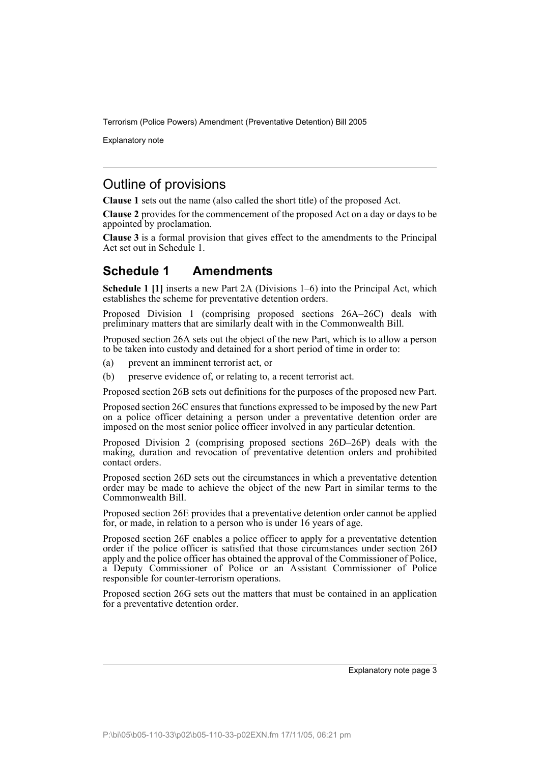Explanatory note

## Outline of provisions

**Clause 1** sets out the name (also called the short title) of the proposed Act.

**Clause 2** provides for the commencement of the proposed Act on a day or days to be appointed by proclamation.

**Clause 3** is a formal provision that gives effect to the amendments to the Principal Act set out in Schedule 1.

## **Schedule 1 Amendments**

**Schedule 1 [1]** inserts a new Part 2A (Divisions 1–6) into the Principal Act, which establishes the scheme for preventative detention orders.

Proposed Division 1 (comprising proposed sections 26A–26C) deals with preliminary matters that are similarly dealt with in the Commonwealth Bill.

Proposed section 26A sets out the object of the new Part, which is to allow a person to be taken into custody and detained for a short period of time in order to:

- (a) prevent an imminent terrorist act, or
- (b) preserve evidence of, or relating to, a recent terrorist act.

Proposed section 26B sets out definitions for the purposes of the proposed new Part.

Proposed section 26C ensures that functions expressed to be imposed by the new Part on a police officer detaining a person under a preventative detention order are imposed on the most senior police officer involved in any particular detention.

Proposed Division 2 (comprising proposed sections 26D–26P) deals with the making, duration and revocation of preventative detention orders and prohibited contact orders.

Proposed section 26D sets out the circumstances in which a preventative detention order may be made to achieve the object of the new Part in similar terms to the Commonwealth Bill.

Proposed section 26E provides that a preventative detention order cannot be applied for, or made, in relation to a person who is under 16 years of age.

Proposed section 26F enables a police officer to apply for a preventative detention order if the police officer is satisfied that those circumstances under section 26D apply and the police officer has obtained the approval of the Commissioner of Police, a Deputy Commissioner of Police or an Assistant Commissioner of Police responsible for counter-terrorism operations.

Proposed section 26G sets out the matters that must be contained in an application for a preventative detention order.

Explanatory note page 3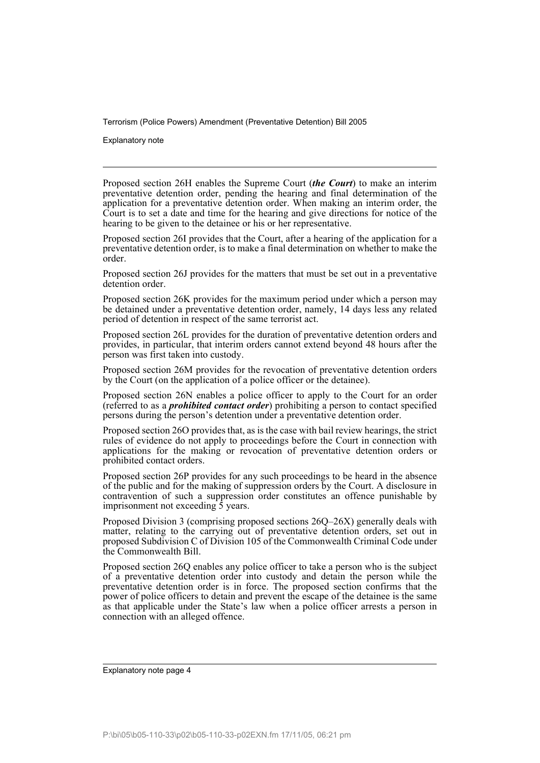Explanatory note

Proposed section 26H enables the Supreme Court (*the Court*) to make an interim preventative detention order, pending the hearing and final determination of the application for a preventative detention order. When making an interim order, the Court is to set a date and time for the hearing and give directions for notice of the hearing to be given to the detainee or his or her representative.

Proposed section 26I provides that the Court, after a hearing of the application for a preventative detention order, is to make a final determination on whether to make the order.

Proposed section 26J provides for the matters that must be set out in a preventative detention order.

Proposed section 26K provides for the maximum period under which a person may be detained under a preventative detention order, namely, 14 days less any related period of detention in respect of the same terrorist act.

Proposed section 26L provides for the duration of preventative detention orders and provides, in particular, that interim orders cannot extend beyond 48 hours after the person was first taken into custody.

Proposed section 26M provides for the revocation of preventative detention orders by the Court (on the application of a police officer or the detainee).

Proposed section 26N enables a police officer to apply to the Court for an order (referred to as a *prohibited contact order*) prohibiting a person to contact specified persons during the person's detention under a preventative detention order.

Proposed section 26O provides that, as is the case with bail review hearings, the strict rules of evidence do not apply to proceedings before the Court in connection with applications for the making or revocation of preventative detention orders or prohibited contact orders.

Proposed section 26P provides for any such proceedings to be heard in the absence of the public and for the making of suppression orders by the Court. A disclosure in contravention of such a suppression order constitutes an offence punishable by imprisonment not exceeding 5 years.

Proposed Division 3 (comprising proposed sections 26Q–26X) generally deals with matter, relating to the carrying out of preventative detention orders, set out in proposed Subdivision C of Division 105 of the Commonwealth Criminal Code under the Commonwealth Bill.

Proposed section 26Q enables any police officer to take a person who is the subject of a preventative detention order into custody and detain the person while the preventative detention order is in force. The proposed section confirms that the power of police officers to detain and prevent the escape of the detainee is the same as that applicable under the State's law when a police officer arrests a person in connection with an alleged offence.

Explanatory note page 4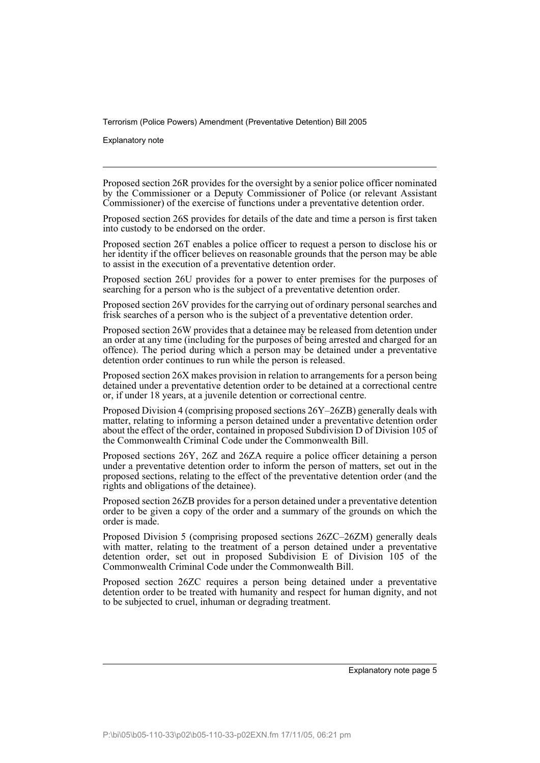Explanatory note

Proposed section 26R provides for the oversight by a senior police officer nominated by the Commissioner or a Deputy Commissioner of Police (or relevant Assistant Commissioner) of the exercise of functions under a preventative detention order.

Proposed section 26S provides for details of the date and time a person is first taken into custody to be endorsed on the order.

Proposed section 26T enables a police officer to request a person to disclose his or her identity if the officer believes on reasonable grounds that the person may be able to assist in the execution of a preventative detention order.

Proposed section 26U provides for a power to enter premises for the purposes of searching for a person who is the subject of a preventative detention order.

Proposed section 26V provides for the carrying out of ordinary personal searches and frisk searches of a person who is the subject of a preventative detention order.

Proposed section 26W provides that a detainee may be released from detention under an order at any time (including for the purposes of being arrested and charged for an offence). The period during which a person may be detained under a preventative detention order continues to run while the person is released.

Proposed section 26X makes provision in relation to arrangements for a person being detained under a preventative detention order to be detained at a correctional centre or, if under 18 years, at a juvenile detention or correctional centre.

Proposed Division 4 (comprising proposed sections 26Y–26ZB) generally deals with matter, relating to informing a person detained under a preventative detention order about the effect of the order, contained in proposed Subdivision D of Division 105 of the Commonwealth Criminal Code under the Commonwealth Bill.

Proposed sections 26Y, 26Z and 26ZA require a police officer detaining a person under a preventative detention order to inform the person of matters, set out in the proposed sections, relating to the effect of the preventative detention order (and the rights and obligations of the detainee).

Proposed section 26ZB provides for a person detained under a preventative detention order to be given a copy of the order and a summary of the grounds on which the order is made.

Proposed Division 5 (comprising proposed sections 26ZC–26ZM) generally deals with matter, relating to the treatment of a person detained under a preventative detention order, set out in proposed Subdivision E of Division 105 of the Commonwealth Criminal Code under the Commonwealth Bill.

Proposed section 26ZC requires a person being detained under a preventative detention order to be treated with humanity and respect for human dignity, and not to be subjected to cruel, inhuman or degrading treatment.

Explanatory note page 5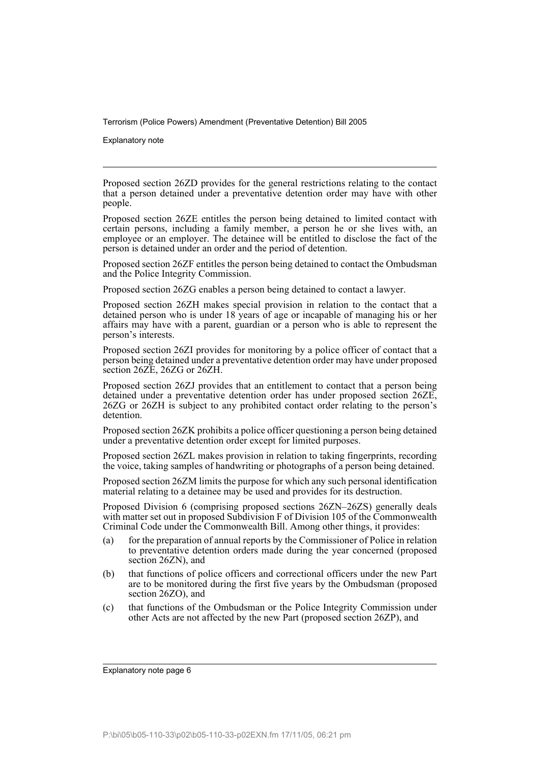Explanatory note

Proposed section 26ZD provides for the general restrictions relating to the contact that a person detained under a preventative detention order may have with other people.

Proposed section 26ZE entitles the person being detained to limited contact with certain persons, including a family member, a person he or she lives with, an employee or an employer. The detainee will be entitled to disclose the fact of the person is detained under an order and the period of detention.

Proposed section 26ZF entitles the person being detained to contact the Ombudsman and the Police Integrity Commission.

Proposed section 26ZG enables a person being detained to contact a lawyer.

Proposed section 26ZH makes special provision in relation to the contact that a detained person who is under  $18$  years of age or incapable of managing his or her affairs may have with a parent, guardian or a person who is able to represent the person's interests.

Proposed section 26ZI provides for monitoring by a police officer of contact that a person being detained under a preventative detention order may have under proposed section 26ZE, 26ZG or 26ZH.

Proposed section 26ZJ provides that an entitlement to contact that a person being detained under a preventative detention order has under proposed section 26ZE, 26ZG or 26ZH is subject to any prohibited contact order relating to the person's detention.

Proposed section 26ZK prohibits a police officer questioning a person being detained under a preventative detention order except for limited purposes.

Proposed section 26ZL makes provision in relation to taking fingerprints, recording the voice, taking samples of handwriting or photographs of a person being detained.

Proposed section 26ZM limits the purpose for which any such personal identification material relating to a detainee may be used and provides for its destruction.

Proposed Division 6 (comprising proposed sections 26ZN–26ZS) generally deals with matter set out in proposed Subdivision F of Division 105 of the Commonwealth Criminal Code under the Commonwealth Bill. Among other things, it provides:

- (a) for the preparation of annual reports by the Commissioner of Police in relation to preventative detention orders made during the year concerned (proposed section 26ZN), and
- (b) that functions of police officers and correctional officers under the new Part are to be monitored during the first five years by the Ombudsman (proposed section 26ZO), and
- (c) that functions of the Ombudsman or the Police Integrity Commission under other Acts are not affected by the new Part (proposed section 26ZP), and

Explanatory note page 6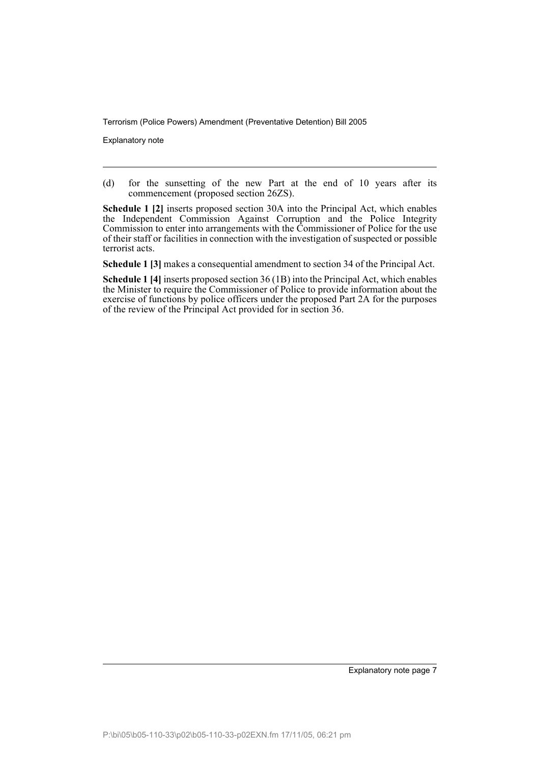Explanatory note

(d) for the sunsetting of the new Part at the end of 10 years after its commencement (proposed section 26ZS).

**Schedule 1 [2]** inserts proposed section 30A into the Principal Act, which enables the Independent Commission Against Corruption and the Police Integrity Commission to enter into arrangements with the Commissioner of Police for the use of their staff or facilities in connection with the investigation of suspected or possible terrorist acts.

**Schedule 1 [3]** makes a consequential amendment to section 34 of the Principal Act.

**Schedule 1 [4]** inserts proposed section 36 (1B) into the Principal Act, which enables the Minister to require the Commissioner of Police to provide information about the exercise of functions by police officers under the proposed Part 2A for the purposes of the review of the Principal Act provided for in section 36.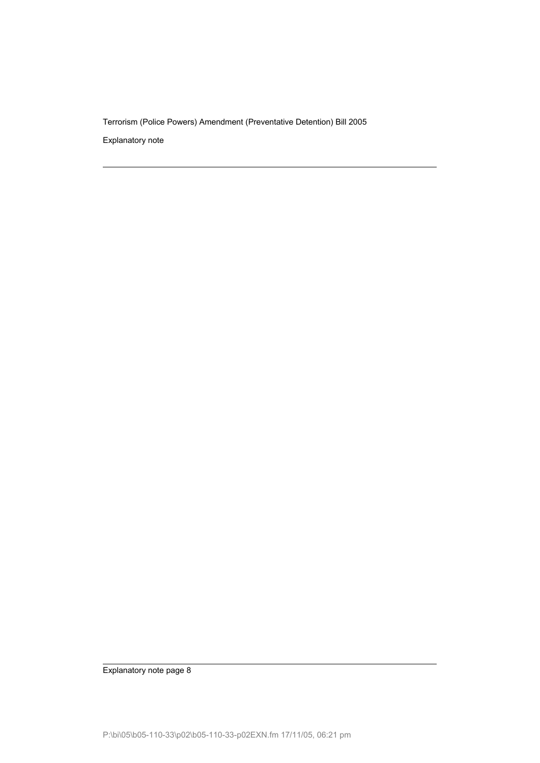Explanatory note

Explanatory note page 8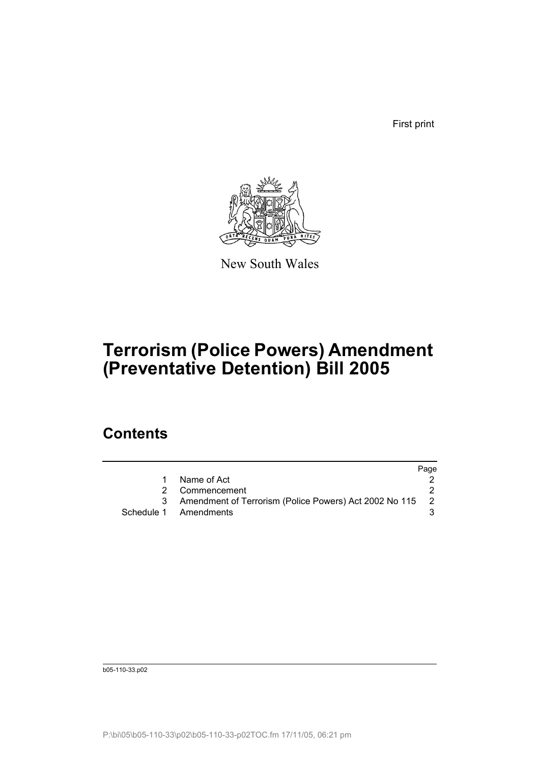First print



New South Wales

# **Terrorism (Police Powers) Amendment (Preventative Detention) Bill 2005**

## **Contents**

|                                                          | Page |
|----------------------------------------------------------|------|
| Name of Act                                              |      |
| 2 Commencement                                           |      |
| Amendment of Terrorism (Police Powers) Act 2002 No 115 2 |      |
| Schedule 1 Amendments                                    |      |
|                                                          |      |

b05-110-33.p02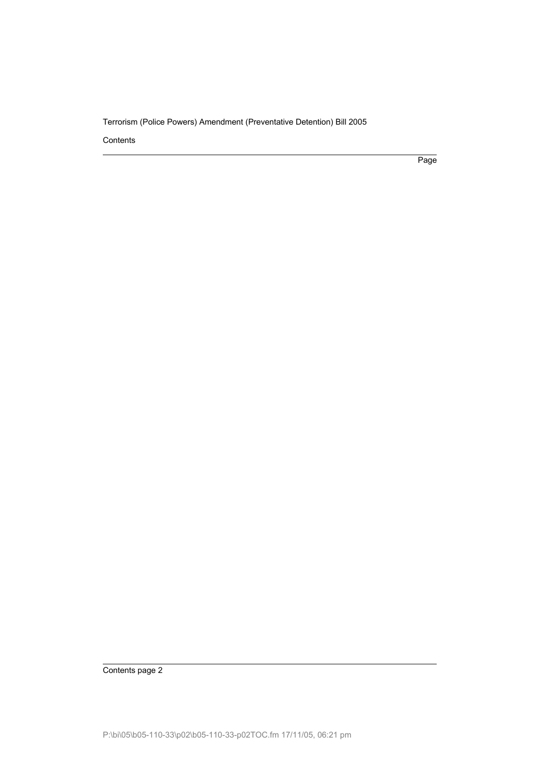Contents

Page

Contents page 2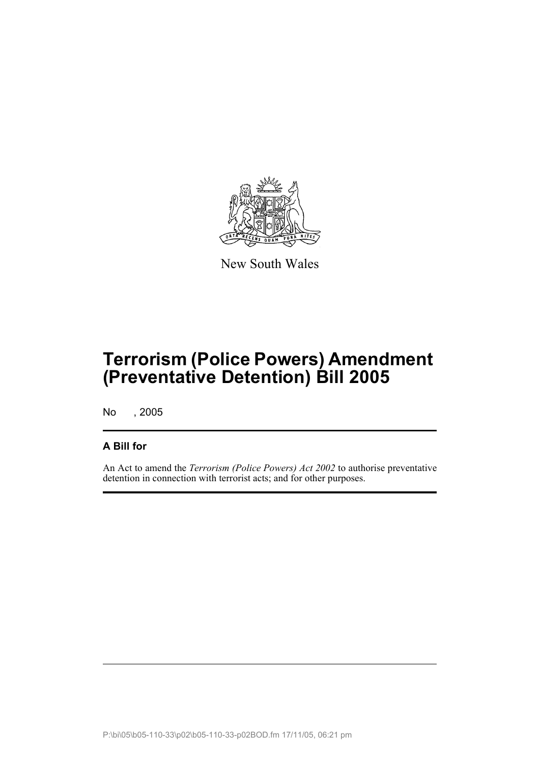

New South Wales

# **Terrorism (Police Powers) Amendment (Preventative Detention) Bill 2005**

No , 2005

### **A Bill for**

An Act to amend the *Terrorism (Police Powers) Act 2002* to authorise preventative detention in connection with terrorist acts; and for other purposes.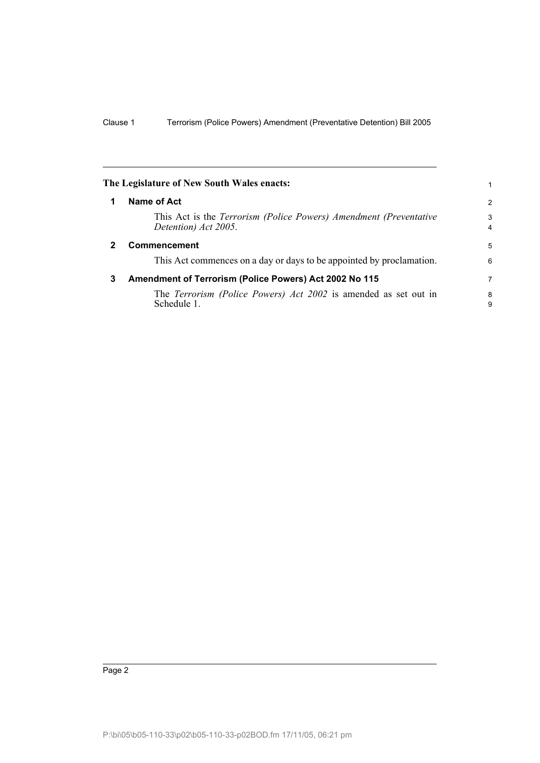<span id="page-11-2"></span><span id="page-11-1"></span><span id="page-11-0"></span>

|              | The Legislature of New South Wales enacts:                                                |                     |  |  |  |
|--------------|-------------------------------------------------------------------------------------------|---------------------|--|--|--|
|              | Name of Act                                                                               | $\overline{2}$      |  |  |  |
|              | This Act is the Terrorism (Police Powers) Amendment (Preventative<br>Detention) Act 2005. | 3<br>$\overline{4}$ |  |  |  |
| $\mathbf{2}$ | <b>Commencement</b>                                                                       |                     |  |  |  |
|              | This Act commences on a day or days to be appointed by proclamation.                      | 6                   |  |  |  |
| 3            | Amendment of Terrorism (Police Powers) Act 2002 No 115                                    | 7                   |  |  |  |
|              | The Terrorism (Police Powers) Act 2002 is amended as set out in<br>Schedule 1.            | 8<br>9              |  |  |  |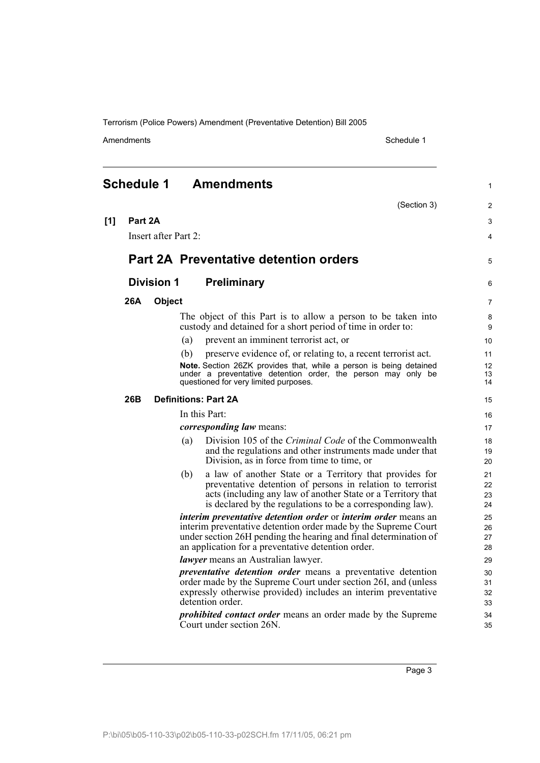Amendments Schedule 1

<span id="page-12-0"></span>

|     | <b>Schedule 1</b> |                      |     | <b>Amendments</b>                                                                                                             | $\mathbf{1}$   |
|-----|-------------------|----------------------|-----|-------------------------------------------------------------------------------------------------------------------------------|----------------|
|     |                   |                      |     | (Section 3)                                                                                                                   | $\overline{2}$ |
| [1] | Part 2A           |                      |     |                                                                                                                               | 3              |
|     |                   | Insert after Part 2: |     |                                                                                                                               | 4              |
|     |                   |                      |     | <b>Part 2A Preventative detention orders</b>                                                                                  | 5              |
|     |                   | <b>Division 1</b>    |     | <b>Preliminary</b>                                                                                                            | 6              |
|     | 26A               | <b>Object</b>        |     |                                                                                                                               | $\overline{7}$ |
|     |                   |                      |     | The object of this Part is to allow a person to be taken into<br>custody and detained for a short period of time in order to: | 8<br>9         |
|     |                   |                      | (a) | prevent an imminent terrorist act, or                                                                                         | 10             |
|     |                   |                      | (b) | preserve evidence of, or relating to, a recent terrorist act.                                                                 | 11             |
|     |                   |                      |     | Note. Section 26ZK provides that, while a person is being detained                                                            | 12             |
|     |                   |                      |     | under a preventative detention order, the person may only be<br>questioned for very limited purposes.                         | 13<br>14       |
|     | 26B               |                      |     | <b>Definitions: Part 2A</b>                                                                                                   | 15             |
|     |                   |                      |     | In this Part:                                                                                                                 | 16             |
|     |                   |                      |     | <i>corresponding law means:</i>                                                                                               | 17             |
|     |                   |                      | (a) | Division 105 of the Criminal Code of the Commonwealth                                                                         | 18             |
|     |                   |                      |     | and the regulations and other instruments made under that                                                                     | 19             |
|     |                   |                      |     | Division, as in force from time to time, or                                                                                   | 20             |
|     |                   |                      | (b) | a law of another State or a Territory that provides for<br>preventative detention of persons in relation to terrorist         | 21<br>22       |
|     |                   |                      |     | acts (including any law of another State or a Territory that                                                                  | 23             |
|     |                   |                      |     | is declared by the regulations to be a corresponding law).                                                                    | 24             |
|     |                   |                      |     | interim preventative detention order or interim order means an                                                                | 25             |
|     |                   |                      |     | interim preventative detention order made by the Supreme Court                                                                | 26             |
|     |                   |                      |     | under section 26H pending the hearing and final determination of<br>an application for a preventative detention order.        | 27<br>28       |
|     |                   |                      |     | lawyer means an Australian lawyer.                                                                                            | 29             |
|     |                   |                      |     | preventative detention order means a preventative detention                                                                   | 30             |
|     |                   |                      |     | order made by the Supreme Court under section 26I, and (unless                                                                | 31             |
|     |                   |                      |     | expressly otherwise provided) includes an interim preventative                                                                | 32             |
|     |                   |                      |     | detention order.                                                                                                              | 33             |
|     |                   |                      |     | <i>prohibited contact order</i> means an order made by the Supreme<br>Court under section 26N.                                | 34<br>35       |
|     |                   |                      |     |                                                                                                                               |                |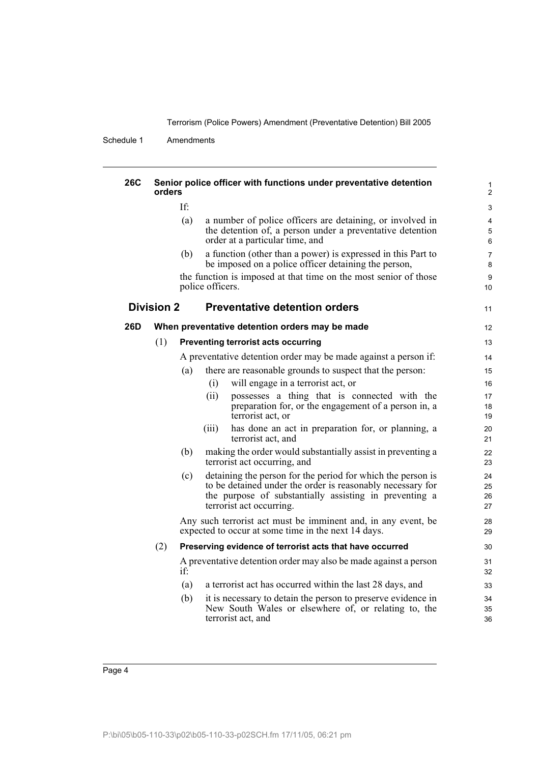Schedule 1 Amendments

| 26C | orders            |     |                    | Senior police officer with functions under preventative detention                                                                                                                                               | $\mathbf{1}$<br>$\overline{2}$ |
|-----|-------------------|-----|--------------------|-----------------------------------------------------------------------------------------------------------------------------------------------------------------------------------------------------------------|--------------------------------|
|     |                   | If: |                    |                                                                                                                                                                                                                 | 3                              |
|     |                   | (a) |                    | a number of police officers are detaining, or involved in<br>the detention of, a person under a preventative detention<br>order at a particular time, and                                                       | 4<br>5<br>6                    |
|     |                   | (b) |                    | a function (other than a power) is expressed in this Part to<br>be imposed on a police officer detaining the person,                                                                                            | $\overline{7}$<br>8            |
|     |                   |     | police officers.   | the function is imposed at that time on the most senior of those                                                                                                                                                | 9<br>10                        |
|     | <b>Division 2</b> |     |                    | <b>Preventative detention orders</b>                                                                                                                                                                            | 11                             |
| 26D |                   |     |                    | When preventative detention orders may be made                                                                                                                                                                  | 12                             |
|     | (1)               |     |                    | Preventing terrorist acts occurring                                                                                                                                                                             | 13                             |
|     |                   |     |                    | A preventative detention order may be made against a person if:                                                                                                                                                 | 14                             |
|     |                   | (a) |                    | there are reasonable grounds to suspect that the person:                                                                                                                                                        | 15                             |
|     |                   |     | (i)                | will engage in a terrorist act, or                                                                                                                                                                              | 16                             |
|     |                   |     | (ii)               | possesses a thing that is connected with the<br>preparation for, or the engagement of a person in, a<br>terrorist act, or                                                                                       | 17<br>18<br>19                 |
|     |                   |     | (iii)              | has done an act in preparation for, or planning, a<br>terrorist act, and                                                                                                                                        | 20<br>21                       |
|     |                   | (b) |                    | making the order would substantially assist in preventing a<br>terrorist act occurring, and                                                                                                                     | 22<br>23                       |
|     |                   | (c) |                    | detaining the person for the period for which the person is<br>to be detained under the order is reasonably necessary for<br>the purpose of substantially assisting in preventing a<br>terrorist act occurring. | 24<br>25<br>26<br>27           |
|     |                   |     |                    | Any such terrorist act must be imminent and, in any event, be<br>expected to occur at some time in the next 14 days.                                                                                            | 28<br>29                       |
|     | (2)               |     |                    | Preserving evidence of terrorist acts that have occurred                                                                                                                                                        | 30                             |
|     |                   | if: |                    | A preventative detention order may also be made against a person                                                                                                                                                | 31<br>32                       |
|     |                   | (a) |                    | a terrorist act has occurred within the last 28 days, and                                                                                                                                                       | 33                             |
|     |                   | (b) | terrorist act, and | it is necessary to detain the person to preserve evidence in<br>New South Wales or elsewhere of, or relating to, the                                                                                            | 34<br>35<br>36                 |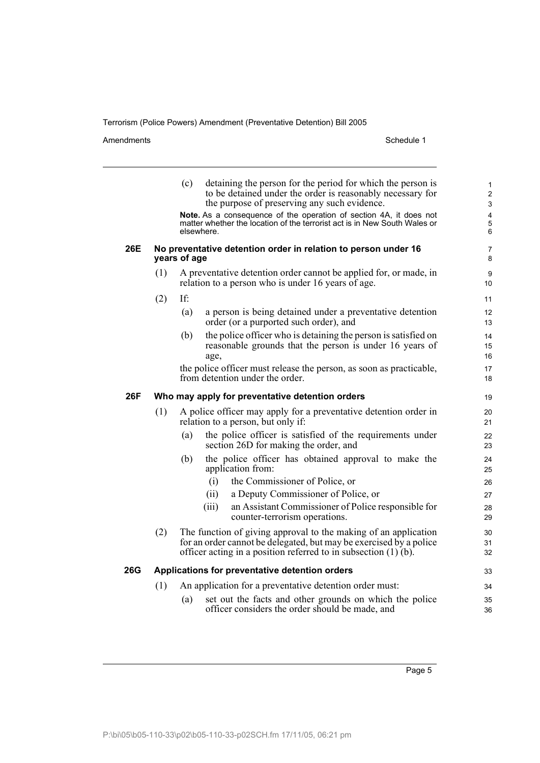Amendments Schedule 1

|     |     | (c)<br>detaining the person for the period for which the person is<br>to be detained under the order is reasonably necessary for<br>the purpose of preserving any such evidence.<br>Note. As a consequence of the operation of section 4A, it does not<br>matter whether the location of the terrorist act is in New South Wales or<br>elsewhere. | $\mathbf{1}$<br>2<br>3<br>4<br>$\mathbf 5$<br>6 |
|-----|-----|---------------------------------------------------------------------------------------------------------------------------------------------------------------------------------------------------------------------------------------------------------------------------------------------------------------------------------------------------|-------------------------------------------------|
| 26E |     | No preventative detention order in relation to person under 16<br>years of age                                                                                                                                                                                                                                                                    | $\overline{7}$<br>8                             |
|     | (1) | A preventative detention order cannot be applied for, or made, in<br>relation to a person who is under 16 years of age.                                                                                                                                                                                                                           | 9<br>10                                         |
|     | (2) | If:                                                                                                                                                                                                                                                                                                                                               | 11                                              |
|     |     | a person is being detained under a preventative detention<br>(a)<br>order (or a purported such order), and                                                                                                                                                                                                                                        | 12<br>13                                        |
|     |     | the police officer who is detaining the person is satisfied on<br>(b)<br>reasonable grounds that the person is under 16 years of<br>age,                                                                                                                                                                                                          | 14<br>15<br>16                                  |
|     |     | the police officer must release the person, as soon as practicable,<br>from detention under the order.                                                                                                                                                                                                                                            | 17<br>18                                        |
| 26F |     | Who may apply for preventative detention orders                                                                                                                                                                                                                                                                                                   | 19                                              |
|     | (1) | A police officer may apply for a preventative detention order in<br>relation to a person, but only if:                                                                                                                                                                                                                                            | 20<br>21                                        |
|     |     | the police officer is satisfied of the requirements under<br>(a)<br>section 26D for making the order, and                                                                                                                                                                                                                                         | 22<br>23                                        |
|     |     | the police officer has obtained approval to make the<br>(b)<br>application from:                                                                                                                                                                                                                                                                  | 24<br>25                                        |
|     |     | the Commissioner of Police, or<br>(i)                                                                                                                                                                                                                                                                                                             | 26                                              |
|     |     | a Deputy Commissioner of Police, or<br>(ii)                                                                                                                                                                                                                                                                                                       | 27                                              |
|     |     | an Assistant Commissioner of Police responsible for<br>(iii)<br>counter-terrorism operations.                                                                                                                                                                                                                                                     | 28<br>29                                        |
|     | (2) | The function of giving approval to the making of an application<br>for an order cannot be delegated, but may be exercised by a police<br>officer acting in a position referred to in subsection $(1)$ (b).                                                                                                                                        | 30<br>31<br>32                                  |
| 26G |     | Applications for preventative detention orders                                                                                                                                                                                                                                                                                                    | 33                                              |
|     | (1) | An application for a preventative detention order must:                                                                                                                                                                                                                                                                                           | 34                                              |
|     |     | set out the facts and other grounds on which the police<br>(a)<br>officer considers the order should be made, and                                                                                                                                                                                                                                 | 35<br>36                                        |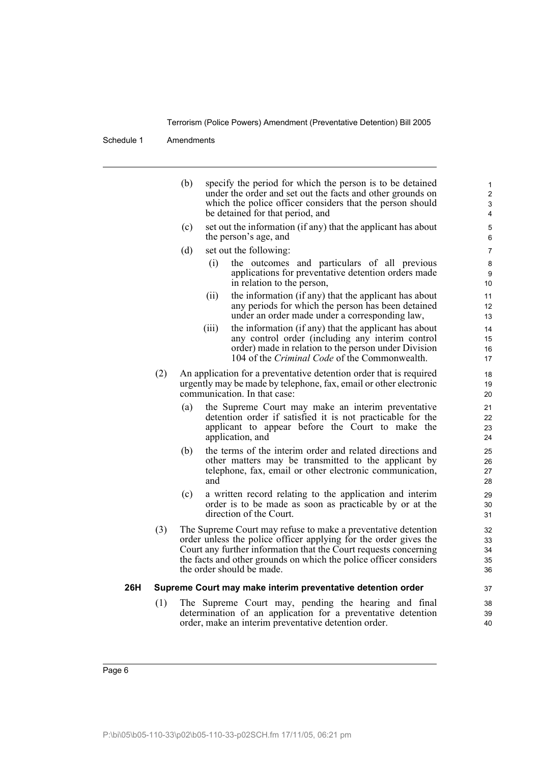Schedule 1 Amendments

|     |     | (b) |       | specify the period for which the person is to be detained<br>under the order and set out the facts and other grounds on<br>which the police officer considers that the person should                                                                                                                    | 1<br>$\overline{2}$<br>3   |
|-----|-----|-----|-------|---------------------------------------------------------------------------------------------------------------------------------------------------------------------------------------------------------------------------------------------------------------------------------------------------------|----------------------------|
|     |     |     |       | be detained for that period, and                                                                                                                                                                                                                                                                        | 4                          |
|     |     | (c) |       | set out the information (if any) that the applicant has about<br>the person's age, and                                                                                                                                                                                                                  | 5<br>6                     |
|     |     | (d) |       | set out the following:                                                                                                                                                                                                                                                                                  | $\overline{7}$             |
|     |     |     | (i)   | the outcomes and particulars of all previous<br>applications for preventative detention orders made<br>in relation to the person,                                                                                                                                                                       | 8<br>9<br>10               |
|     |     |     | (ii)  | the information (if any) that the applicant has about<br>any periods for which the person has been detained<br>under an order made under a corresponding law,                                                                                                                                           | 11<br>12<br>13             |
|     |     |     | (iii) | the information (if any) that the applicant has about<br>any control order (including any interim control<br>order) made in relation to the person under Division<br>104 of the <i>Criminal Code</i> of the Commonwealth.                                                                               | 14<br>15<br>16<br>17       |
|     | (2) |     |       | An application for a preventative detention order that is required<br>urgently may be made by telephone, fax, email or other electronic<br>communication. In that case:                                                                                                                                 | 18<br>19<br>20             |
|     |     | (a) |       | the Supreme Court may make an interim preventative<br>detention order if satisfied it is not practicable for the<br>applicant to appear before the Court to make the<br>application, and                                                                                                                | 21<br>22<br>23<br>24       |
|     |     | (b) | and   | the terms of the interim order and related directions and<br>other matters may be transmitted to the applicant by<br>telephone, fax, email or other electronic communication,                                                                                                                           | 25<br>26<br>27<br>28       |
|     |     | (c) |       | a written record relating to the application and interim<br>order is to be made as soon as practicable by or at the<br>direction of the Court.                                                                                                                                                          | 29<br>30<br>31             |
|     | (3) |     |       | The Supreme Court may refuse to make a preventative detention<br>order unless the police officer applying for the order gives the<br>Court any further information that the Court requests concerning<br>the facts and other grounds on which the police officer considers<br>the order should be made. | 32<br>33<br>34<br>35<br>36 |
| 26H |     |     |       | Supreme Court may make interim preventative detention order                                                                                                                                                                                                                                             | 37                         |
|     | (1) |     |       | The Supreme Court may, pending the hearing and final<br>determination of an application for a preventative detention<br>order, make an interim preventative detention order.                                                                                                                            | 38<br>39<br>40             |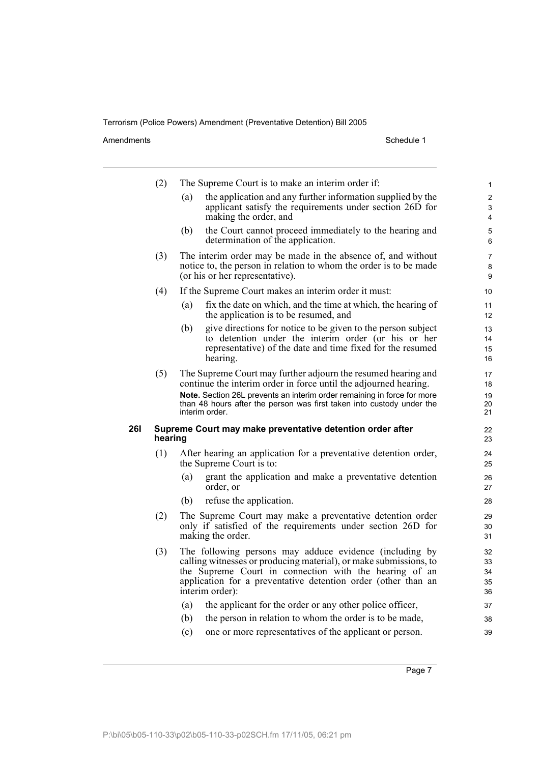Amendments Schedule 1

|     | (2)     |     | The Supreme Court is to make an interim order if:                                                                                                                                                                                                                                                       | $\mathbf{1}$               |
|-----|---------|-----|---------------------------------------------------------------------------------------------------------------------------------------------------------------------------------------------------------------------------------------------------------------------------------------------------------|----------------------------|
|     |         | (a) | the application and any further information supplied by the<br>applicant satisfy the requirements under section 26D for                                                                                                                                                                                 | 2<br>3                     |
|     |         |     | making the order, and                                                                                                                                                                                                                                                                                   | 4                          |
|     |         | (b) | the Court cannot proceed immediately to the hearing and<br>determination of the application.                                                                                                                                                                                                            | 5<br>6                     |
|     | (3)     |     | The interim order may be made in the absence of, and without<br>notice to, the person in relation to whom the order is to be made<br>(or his or her representative).                                                                                                                                    | 7<br>8<br>9                |
|     | (4)     |     | If the Supreme Court makes an interim order it must:                                                                                                                                                                                                                                                    | 10                         |
|     |         | (a) | fix the date on which, and the time at which, the hearing of<br>the application is to be resumed, and                                                                                                                                                                                                   | 11<br>12                   |
|     |         | (b) | give directions for notice to be given to the person subject<br>to detention under the interim order (or his or her<br>representative) of the date and time fixed for the resumed<br>hearing.                                                                                                           | 13<br>14<br>15<br>16       |
|     | (5)     |     | The Supreme Court may further adjourn the resumed hearing and<br>continue the interim order in force until the adjourned hearing.<br>Note. Section 26L prevents an interim order remaining in force for more<br>than 48 hours after the person was first taken into custody under the<br>interim order. | 17<br>18<br>19<br>20<br>21 |
| 26I | hearing |     | Supreme Court may make preventative detention order after                                                                                                                                                                                                                                               | 22<br>23                   |
|     | (1)     |     | After hearing an application for a preventative detention order,<br>the Supreme Court is to:                                                                                                                                                                                                            | 24<br>25                   |
|     |         | (a) | grant the application and make a preventative detention<br>order, or                                                                                                                                                                                                                                    | 26<br>27                   |
|     |         | (b) | refuse the application.                                                                                                                                                                                                                                                                                 | 28                         |
|     | (2)     |     | The Supreme Court may make a preventative detention order<br>only if satisfied of the requirements under section 26D for<br>making the order.                                                                                                                                                           | 29<br>30<br>31             |
|     | (3)     |     | The following persons may adduce evidence (including by<br>calling witnesses or producing material), or make submissions, to<br>the Supreme Court in connection with the hearing of an<br>application for a preventative detention order (other than an<br>interim order):                              | 32<br>33<br>34<br>35<br>36 |
|     |         | (a) | the applicant for the order or any other police officer,                                                                                                                                                                                                                                                | 37                         |
|     |         | (b) | the person in relation to whom the order is to be made,                                                                                                                                                                                                                                                 | 38                         |
|     |         | (c) | one or more representatives of the applicant or person.                                                                                                                                                                                                                                                 | 39                         |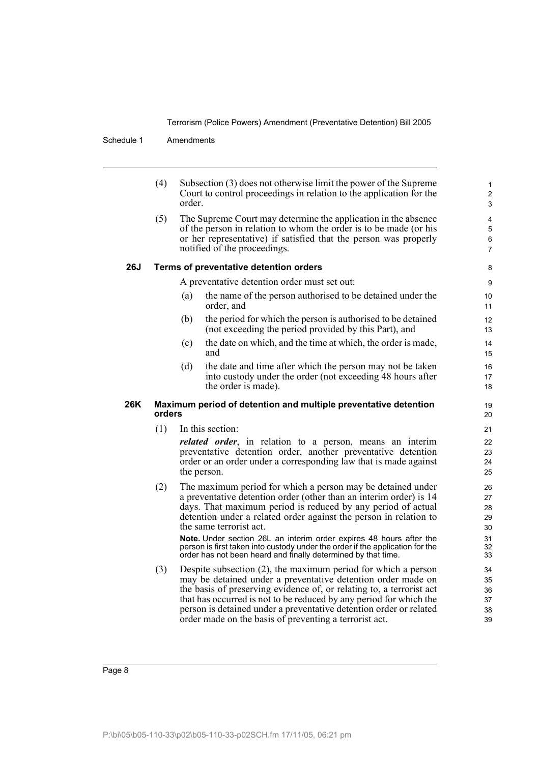Schedule 1 Amendments

|            | (4)    | order. | Subsection (3) does not otherwise limit the power of the Supreme<br>Court to control proceedings in relation to the application for the                                                                                                                                                                                                                                                                                                                                         | $\mathbf{1}$<br>$\overline{2}$<br>3    |
|------------|--------|--------|---------------------------------------------------------------------------------------------------------------------------------------------------------------------------------------------------------------------------------------------------------------------------------------------------------------------------------------------------------------------------------------------------------------------------------------------------------------------------------|----------------------------------------|
|            | (5)    |        | The Supreme Court may determine the application in the absence<br>of the person in relation to whom the order is to be made (or his<br>or her representative) if satisfied that the person was properly<br>notified of the proceedings.                                                                                                                                                                                                                                         | 4<br>5<br>6<br>$\overline{7}$          |
| <b>26J</b> |        |        | Terms of preventative detention orders                                                                                                                                                                                                                                                                                                                                                                                                                                          | 8                                      |
|            |        |        | A preventative detention order must set out:                                                                                                                                                                                                                                                                                                                                                                                                                                    | 9                                      |
|            |        | (a)    | the name of the person authorised to be detained under the<br>order, and                                                                                                                                                                                                                                                                                                                                                                                                        | 10<br>11                               |
|            |        | (b)    | the period for which the person is authorised to be detained<br>(not exceeding the period provided by this Part), and                                                                                                                                                                                                                                                                                                                                                           | 12<br>13                               |
|            |        | (c)    | the date on which, and the time at which, the order is made,<br>and                                                                                                                                                                                                                                                                                                                                                                                                             | 14<br>15                               |
|            |        | (d)    | the date and time after which the person may not be taken<br>into custody under the order (not exceeding 48 hours after<br>the order is made).                                                                                                                                                                                                                                                                                                                                  | 16<br>17<br>18                         |
| 26K        | orders |        | Maximum period of detention and multiple preventative detention                                                                                                                                                                                                                                                                                                                                                                                                                 | 19<br>20                               |
|            | (1)    |        | In this section:                                                                                                                                                                                                                                                                                                                                                                                                                                                                | 21                                     |
|            |        |        | <i>related order</i> , in relation to a person, means an interim<br>preventative detention order, another preventative detention<br>order or an order under a corresponding law that is made against<br>the person.                                                                                                                                                                                                                                                             | 22<br>23<br>24<br>25                   |
|            | (2)    |        | The maximum period for which a person may be detained under<br>a preventative detention order (other than an interim order) is 14<br>days. That maximum period is reduced by any period of actual<br>detention under a related order against the person in relation to<br>the same terrorist act.<br>Note. Under section 26L an interim order expires 48 hours after the<br>person is first taken into custody under the order if the application for the                       | 26<br>27<br>28<br>29<br>30<br>31<br>32 |
|            | (3)    |        | order has not been heard and finally determined by that time.<br>Despite subsection $(2)$ , the maximum period for which a person<br>may be detained under a preventative detention order made on<br>the basis of preserving evidence of, or relating to, a terrorist act<br>that has occurred is not to be reduced by any period for which the<br>person is detained under a preventative detention order or related<br>order made on the basis of preventing a terrorist act. | 33<br>34<br>35<br>36<br>37<br>38<br>39 |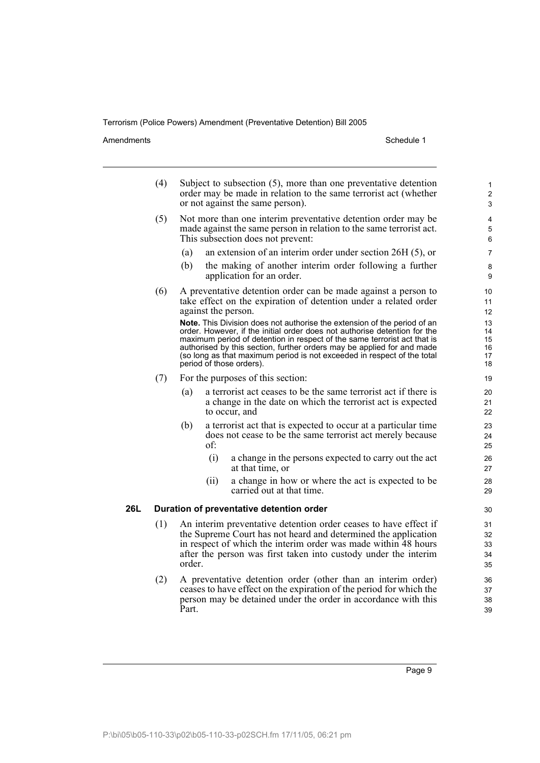Amendments **Amendments** Schedule 1

- (4) Subject to subsection (5), more than one preventative detention order may be made in relation to the same terrorist act (whether or not against the same person).
- (5) Not more than one interim preventative detention order may be made against the same person in relation to the same terrorist act. This subsection does not prevent:
	- (a) an extension of an interim order under section 26H (5), or
	- (b) the making of another interim order following a further application for an order.
- (6) A preventative detention order can be made against a person to take effect on the expiration of detention under a related order against the person.

**Note.** This Division does not authorise the extension of the period of an order. However, if the initial order does not authorise detention for the maximum period of detention in respect of the same terrorist act that is authorised by this section, further orders may be applied for and made (so long as that maximum period is not exceeded in respect of the total period of those orders).

- (7) For the purposes of this section:
	- (a) a terrorist act ceases to be the same terrorist act if there is a change in the date on which the terrorist act is expected to occur, and
	- (b) a terrorist act that is expected to occur at a particular time does not cease to be the same terrorist act merely because of:
		- (i) a change in the persons expected to carry out the act at that time, or
		- (ii) a change in how or where the act is expected to be carried out at that time.

#### **26L Duration of preventative detention order**

- (1) An interim preventative detention order ceases to have effect if the Supreme Court has not heard and determined the application in respect of which the interim order was made within 48 hours after the person was first taken into custody under the interim order.
- (2) A preventative detention order (other than an interim order) ceases to have effect on the expiration of the period for which the person may be detained under the order in accordance with this Part.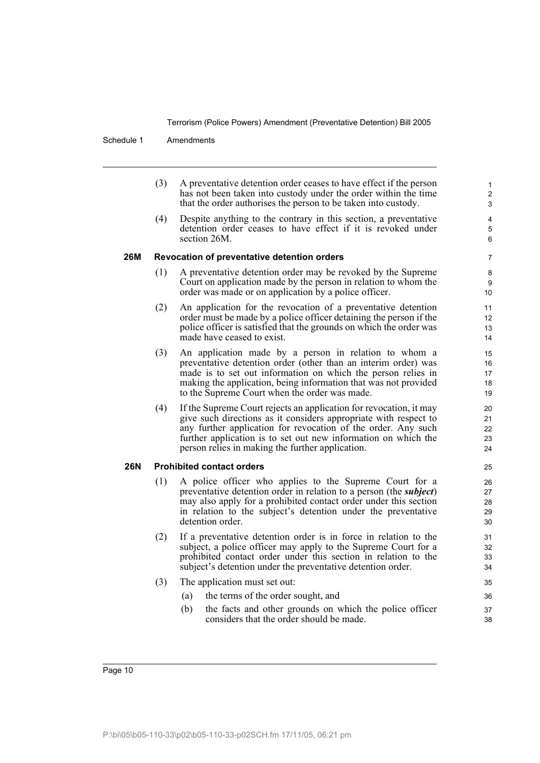Schedule 1 Amendments

(3) A preventative detention order ceases to have effect if the person has not been taken into custody under the order within the time that the order authorises the person to be taken into custody.

(4) Despite anything to the contrary in this section, a preventative detention order ceases to have effect if it is revoked under section 26M.

#### **26M Revocation of preventative detention orders**

- (1) A preventative detention order may be revoked by the Supreme Court on application made by the person in relation to whom the order was made or on application by a police officer.
- (2) An application for the revocation of a preventative detention order must be made by a police officer detaining the person if the police officer is satisfied that the grounds on which the order was made have ceased to exist.
- (3) An application made by a person in relation to whom a preventative detention order (other than an interim order) was made is to set out information on which the person relies in making the application, being information that was not provided to the Supreme Court when the order was made.
- (4) If the Supreme Court rejects an application for revocation, it may give such directions as it considers appropriate with respect to any further application for revocation of the order. Any such further application is to set out new information on which the person relies in making the further application.

#### **26N Prohibited contact orders**

- (1) A police officer who applies to the Supreme Court for a preventative detention order in relation to a person (the *subject*) may also apply for a prohibited contact order under this section in relation to the subject's detention under the preventative detention order.
- (2) If a preventative detention order is in force in relation to the subject, a police officer may apply to the Supreme Court for a prohibited contact order under this section in relation to the subject's detention under the preventative detention order.

#### (3) The application must set out:

- (a) the terms of the order sought, and
- (b) the facts and other grounds on which the police officer considers that the order should be made.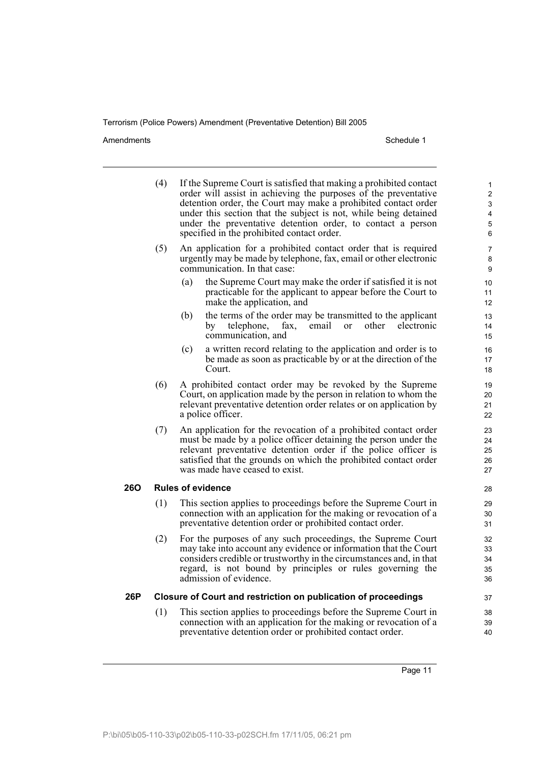Amendments Schedule 1

**26O Rules of evidence**

|     | (4) | If the Supreme Court is satisfied that making a prohibited contact<br>order will assist in achieving the purposes of the preventative<br>detention order, the Court may make a prohibited contact order<br>under this section that the subject is not, while being detained<br>under the preventative detention order, to contact a person<br>specified in the prohibited contact order. | $\mathbf{1}$<br>2<br>3<br>4<br>$\,$ 5 $\,$<br>6 |
|-----|-----|------------------------------------------------------------------------------------------------------------------------------------------------------------------------------------------------------------------------------------------------------------------------------------------------------------------------------------------------------------------------------------------|-------------------------------------------------|
|     | (5) | An application for a prohibited contact order that is required<br>urgently may be made by telephone, fax, email or other electronic<br>communication. In that case:                                                                                                                                                                                                                      | 7<br>8<br>9                                     |
|     |     | the Supreme Court may make the order if satisfied it is not<br>(a)<br>practicable for the applicant to appear before the Court to<br>make the application, and                                                                                                                                                                                                                           | 10<br>11<br>12                                  |
|     |     | the terms of the order may be transmitted to the applicant<br>(b)<br>telephone,<br>fax, email<br>by<br>other<br>electronic<br>or<br>communication, and                                                                                                                                                                                                                                   | 13<br>14<br>15                                  |
|     |     | a written record relating to the application and order is to<br>(c)<br>be made as soon as practicable by or at the direction of the<br>Court.                                                                                                                                                                                                                                            | 16<br>17<br>18                                  |
|     | (6) | A prohibited contact order may be revoked by the Supreme<br>Court, on application made by the person in relation to whom the<br>relevant preventative detention order relates or on application by<br>a police officer.                                                                                                                                                                  | 19<br>20<br>21<br>22                            |
|     | (7) | An application for the revocation of a prohibited contact order<br>must be made by a police officer detaining the person under the<br>relevant preventative detention order if the police officer is<br>satisfied that the grounds on which the prohibited contact order<br>was made have ceased to exist.                                                                               | 23<br>24<br>25<br>26<br>27                      |
| 26O |     | <b>Rules of evidence</b>                                                                                                                                                                                                                                                                                                                                                                 | 28                                              |
|     | (1) | This section applies to proceedings before the Supreme Court in<br>connection with an application for the making or revocation of a<br>preventative detention order or prohibited contact order.                                                                                                                                                                                         | 29<br>30<br>31                                  |
|     | (2) | For the purposes of any such proceedings, the Supreme Court<br>may take into account any evidence or information that the Court<br>considers credible or trustworthy in the circumstances and, in that<br>regard, is not bound by principles or rules governing the<br>admission of evidence.                                                                                            | 32<br>33<br>34<br>35<br>36                      |
| 26P |     | Closure of Court and restriction on publication of proceedings                                                                                                                                                                                                                                                                                                                           | 37                                              |
|     | (1) | This section applies to proceedings before the Supreme Court in<br>connection with an application for the making or revocation of a<br>preventative detention order or prohibited contact order.                                                                                                                                                                                         | 38<br>39<br>40                                  |
|     |     |                                                                                                                                                                                                                                                                                                                                                                                          |                                                 |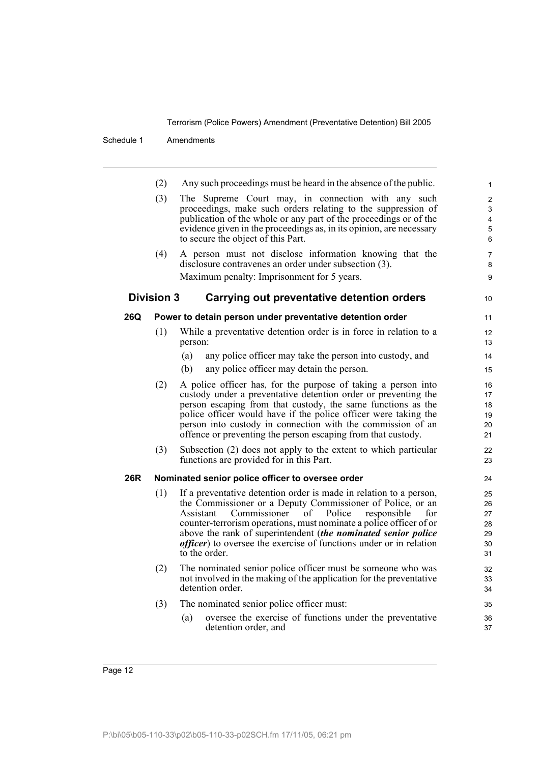#### Schedule 1 Amendments

|     | (2)               | Any such proceedings must be heard in the absence of the public.                                                                                                                                                                                                                                                                                                                                                                    | 1                                      |
|-----|-------------------|-------------------------------------------------------------------------------------------------------------------------------------------------------------------------------------------------------------------------------------------------------------------------------------------------------------------------------------------------------------------------------------------------------------------------------------|----------------------------------------|
|     | (3)               | The Supreme Court may, in connection with any such<br>proceedings, make such orders relating to the suppression of<br>publication of the whole or any part of the proceedings or of the<br>evidence given in the proceedings as, in its opinion, are necessary<br>to secure the object of this Part.                                                                                                                                | $\overline{2}$<br>3<br>4<br>5<br>6     |
|     | (4)               | A person must not disclose information knowing that the<br>disclosure contravenes an order under subsection (3).                                                                                                                                                                                                                                                                                                                    | $\overline{7}$<br>8                    |
|     |                   | Maximum penalty: Imprisonment for 5 years.                                                                                                                                                                                                                                                                                                                                                                                          | 9                                      |
|     | <b>Division 3</b> | Carrying out preventative detention orders                                                                                                                                                                                                                                                                                                                                                                                          | 10                                     |
| 26Q |                   | Power to detain person under preventative detention order                                                                                                                                                                                                                                                                                                                                                                           | 11                                     |
|     | (1)               | While a preventative detention order is in force in relation to a<br>person:                                                                                                                                                                                                                                                                                                                                                        | 12<br>13                               |
|     |                   | (a)<br>any police officer may take the person into custody, and                                                                                                                                                                                                                                                                                                                                                                     | 14                                     |
|     |                   | (b)<br>any police officer may detain the person.                                                                                                                                                                                                                                                                                                                                                                                    | 15                                     |
|     | (2)               | A police officer has, for the purpose of taking a person into<br>custody under a preventative detention order or preventing the<br>person escaping from that custody, the same functions as the<br>police officer would have if the police officer were taking the<br>person into custody in connection with the commission of an<br>offence or preventing the person escaping from that custody.                                   | 16<br>17<br>18<br>19<br>20<br>21       |
|     | (3)               | Subsection (2) does not apply to the extent to which particular<br>functions are provided for in this Part.                                                                                                                                                                                                                                                                                                                         | 22<br>23                               |
| 26R |                   | Nominated senior police officer to oversee order                                                                                                                                                                                                                                                                                                                                                                                    | 24                                     |
|     | (1)               | If a preventative detention order is made in relation to a person,<br>the Commissioner or a Deputy Commissioner of Police, or an<br>Commissioner of Police<br>Assistant<br>responsible<br>for<br>counter-terrorism operations, must nominate a police officer of or<br>above the rank of superintendent (the nominated senior police<br><i>officer</i> ) to oversee the exercise of functions under or in relation<br>to the order. | 25<br>26<br>27<br>28<br>29<br>30<br>31 |
|     | (2)               | The nominated senior police officer must be someone who was<br>not involved in the making of the application for the preventative<br>detention order.                                                                                                                                                                                                                                                                               | 32<br>33<br>34                         |
|     | (3)               | The nominated senior police officer must:                                                                                                                                                                                                                                                                                                                                                                                           | 35                                     |
|     |                   | oversee the exercise of functions under the preventative<br>(a)<br>detention order, and                                                                                                                                                                                                                                                                                                                                             | 36<br>37                               |
|     |                   |                                                                                                                                                                                                                                                                                                                                                                                                                                     |                                        |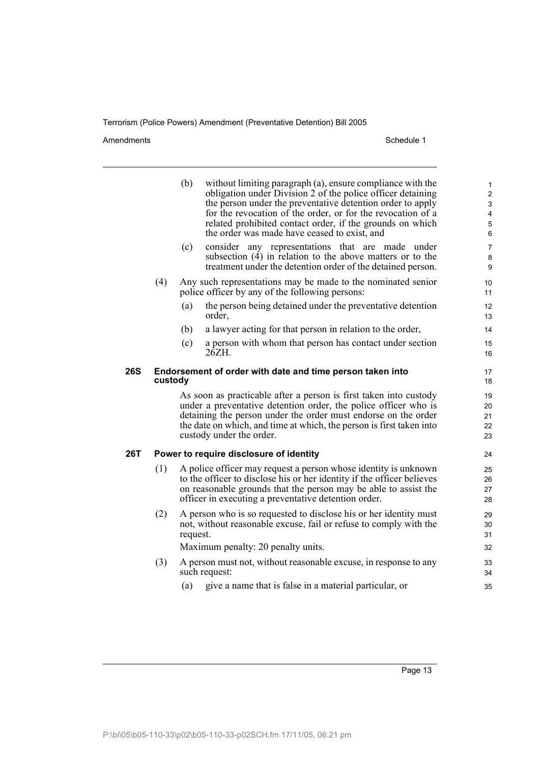Amendments Schedule 1

|            |         | (b)      | without limiting paragraph (a), ensure compliance with the<br>obligation under Division 2 of the police officer detaining<br>the person under the preventative detention order to apply<br>for the revocation of the order, or for the revocation of a<br>related prohibited contact order, if the grounds on which<br>the order was made have ceased to exist, and | 1<br>$\overline{\mathbf{c}}$<br>3<br>$\overline{4}$<br>5<br>6 |
|------------|---------|----------|---------------------------------------------------------------------------------------------------------------------------------------------------------------------------------------------------------------------------------------------------------------------------------------------------------------------------------------------------------------------|---------------------------------------------------------------|
|            |         | (c)      | consider any representations that are made under<br>subsection $(4)$ in relation to the above matters or to the<br>treatment under the detention order of the detained person.                                                                                                                                                                                      | 7<br>8<br>9                                                   |
|            | (4)     |          | Any such representations may be made to the nominated senior<br>police officer by any of the following persons:                                                                                                                                                                                                                                                     | 10<br>11                                                      |
|            |         | (a)      | the person being detained under the preventative detention<br>order,                                                                                                                                                                                                                                                                                                | 12<br>13                                                      |
|            |         | (b)      | a lawyer acting for that person in relation to the order,                                                                                                                                                                                                                                                                                                           | 14                                                            |
|            |         | (c)      | a person with whom that person has contact under section<br>26ZH.                                                                                                                                                                                                                                                                                                   | 15<br>16                                                      |
| 26S        | custody |          | Endorsement of order with date and time person taken into                                                                                                                                                                                                                                                                                                           | 17<br>18                                                      |
|            |         |          | As soon as practicable after a person is first taken into custody<br>under a preventative detention order, the police officer who is<br>detaining the person under the order must endorse on the order<br>the date on which, and time at which, the person is first taken into<br>custody under the order.                                                          | 19<br>20<br>21<br>22<br>23                                    |
| <b>26T</b> |         |          | Power to require disclosure of identity                                                                                                                                                                                                                                                                                                                             | 24                                                            |
|            | (1)     |          | A police officer may request a person whose identity is unknown<br>to the officer to disclose his or her identity if the officer believes<br>on reasonable grounds that the person may be able to assist the<br>officer in executing a preventative detention order.                                                                                                | 25<br>26<br>27<br>28                                          |
|            | (2)     | request. | A person who is so requested to disclose his or her identity must<br>not, without reasonable excuse, fail or refuse to comply with the                                                                                                                                                                                                                              | 29<br>30<br>31                                                |
|            |         |          | Maximum penalty: 20 penalty units.                                                                                                                                                                                                                                                                                                                                  | 32                                                            |
|            | (3)     |          | A person must not, without reasonable excuse, in response to any<br>such request:                                                                                                                                                                                                                                                                                   | 33<br>34                                                      |
|            |         | (a)      | give a name that is false in a material particular, or                                                                                                                                                                                                                                                                                                              | 35                                                            |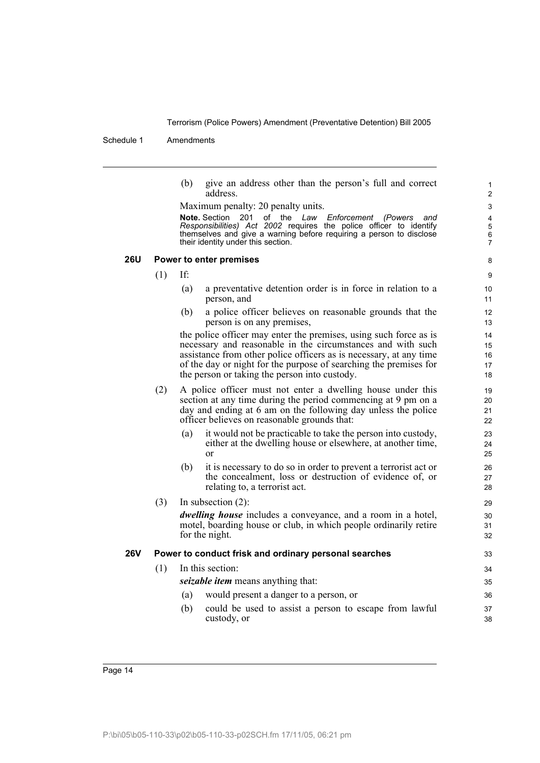Schedule 1 Amendments

(b) give an address other than the person's full and correct address.

33

38

Maximum penalty: 20 penalty units.

**Note.** Section 201 of the *Law Enforcement (Powers and Responsibilities) Act 2002* requires the police officer to identify themselves and give a warning before requiring a person to disclose their identity under this section.

#### **26U Power to enter premises**

(1) If:

- (a) a preventative detention order is in force in relation to a person, and
- (b) a police officer believes on reasonable grounds that the person is on any premises,

the police officer may enter the premises, using such force as is necessary and reasonable in the circumstances and with such assistance from other police officers as is necessary, at any time of the day or night for the purpose of searching the premises for the person or taking the person into custody.

- (2) A police officer must not enter a dwelling house under this section at any time during the period commencing at 9 pm on a day and ending at 6 am on the following day unless the police officer believes on reasonable grounds that:
	- (a) it would not be practicable to take the person into custody, either at the dwelling house or elsewhere, at another time, or
	- (b) it is necessary to do so in order to prevent a terrorist act or the concealment, loss or destruction of evidence of, or relating to, a terrorist act.

(3) In subsection (2): *dwelling house* includes a conveyance, and a room in a hotel, motel, boarding house or club, in which people ordinarily retire for the night.

#### **26V Power to conduct frisk and ordinary personal searches**

- (1) In this section: *seizable item* means anything that: (a) would present a danger to a person, or (b) could be used to assist a person to escape from lawful 34 35 36 37
	- custody, or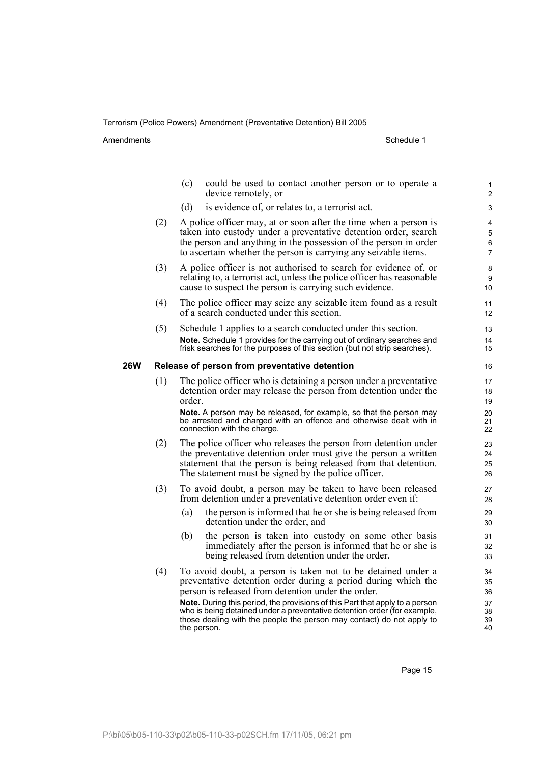Amendments Schedule 1

|     |                                               | (c)<br>could be used to contact another person or to operate a<br>device remotely, or                                                                                                                                                                                      | $\mathbf{1}$<br>$\overline{2}$ |  |  |  |  |  |
|-----|-----------------------------------------------|----------------------------------------------------------------------------------------------------------------------------------------------------------------------------------------------------------------------------------------------------------------------------|--------------------------------|--|--|--|--|--|
|     |                                               | is evidence of, or relates to, a terrorist act.<br>(d)                                                                                                                                                                                                                     | 3                              |  |  |  |  |  |
|     | (2)                                           | A police officer may, at or soon after the time when a person is<br>taken into custody under a preventative detention order, search<br>the person and anything in the possession of the person in order<br>to ascertain whether the person is carrying any seizable items. | 4<br>5<br>6<br>$\overline{7}$  |  |  |  |  |  |
|     | (3)                                           | A police officer is not authorised to search for evidence of, or<br>relating to, a terrorist act, unless the police officer has reasonable<br>cause to suspect the person is carrying such evidence.                                                                       | 8<br>9<br>10                   |  |  |  |  |  |
|     | (4)                                           | The police officer may seize any seizable item found as a result<br>of a search conducted under this section.                                                                                                                                                              | 11<br>12                       |  |  |  |  |  |
|     | (5)                                           | Schedule 1 applies to a search conducted under this section.<br>Note. Schedule 1 provides for the carrying out of ordinary searches and<br>frisk searches for the purposes of this section (but not strip searches).                                                       | 13<br>14<br>15                 |  |  |  |  |  |
| 26W | Release of person from preventative detention |                                                                                                                                                                                                                                                                            |                                |  |  |  |  |  |
|     | (1)                                           | The police officer who is detaining a person under a preventative<br>detention order may release the person from detention under the<br>order.                                                                                                                             | 17<br>18<br>19                 |  |  |  |  |  |
|     |                                               | Note. A person may be released, for example, so that the person may<br>be arrested and charged with an offence and otherwise dealt with in<br>connection with the charge.                                                                                                  | 20<br>21<br>22                 |  |  |  |  |  |
|     | (2)                                           | The police officer who releases the person from detention under<br>the preventative detention order must give the person a written<br>statement that the person is being released from that detention.<br>The statement must be signed by the police officer.              | 23<br>24<br>25<br>26           |  |  |  |  |  |
|     | (3)                                           | To avoid doubt, a person may be taken to have been released<br>from detention under a preventative detention order even if:                                                                                                                                                | 27<br>28                       |  |  |  |  |  |
|     |                                               | the person is informed that he or she is being released from<br>(a)<br>detention under the order, and                                                                                                                                                                      | 29<br>30                       |  |  |  |  |  |
|     |                                               | the person is taken into custody on some other basis<br>(b)<br>immediately after the person is informed that he or she is<br>being released from detention under the order.                                                                                                | 31<br>32<br>33                 |  |  |  |  |  |
|     | (4)                                           | To avoid doubt, a person is taken not to be detained under a<br>preventative detention order during a period during which the<br>person is released from detention under the order.<br>Note. During this period, the provisions of this Part that apply to a person        | 34<br>35<br>36<br>37           |  |  |  |  |  |
|     |                                               | who is being detained under a preventative detention order (for example,                                                                                                                                                                                                   | 38                             |  |  |  |  |  |

those dealing with the people the person may contact) do not apply to

Page 15

39 40

the person.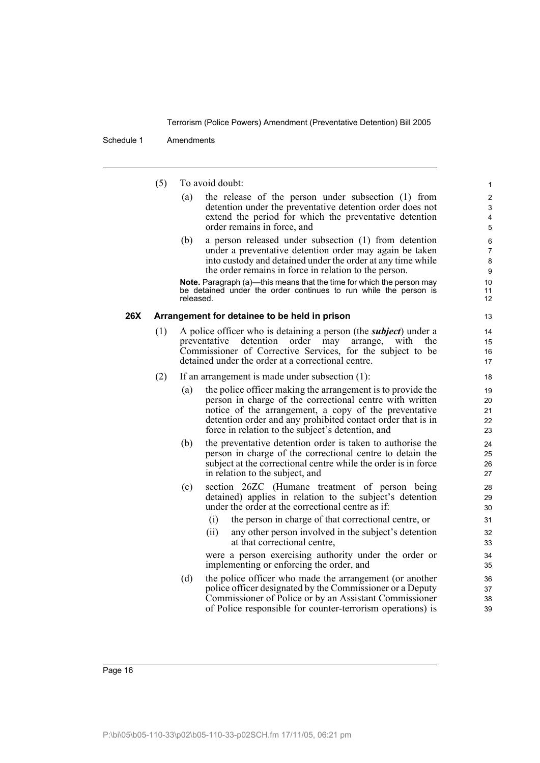Schedule 1 Amendments

- (5) To avoid doubt:
	- (a) the release of the person under subsection (1) from detention under the preventative detention order does not extend the period for which the preventative detention order remains in force, and

(b) a person released under subsection (1) from detention under a preventative detention order may again be taken into custody and detained under the order at any time while the order remains in force in relation to the person.

**Note.** Paragraph (a)—this means that the time for which the person may be detained under the order continues to run while the person is released.

#### **26X Arrangement for detainee to be held in prison**

- (1) A police officer who is detaining a person (the *subject*) under a preventative detention order may arrange, with the Commissioner of Corrective Services, for the subject to be detained under the order at a correctional centre.
- (2) If an arrangement is made under subsection (1):
	- (a) the police officer making the arrangement is to provide the person in charge of the correctional centre with written notice of the arrangement, a copy of the preventative detention order and any prohibited contact order that is in force in relation to the subject's detention, and
	- (b) the preventative detention order is taken to authorise the person in charge of the correctional centre to detain the subject at the correctional centre while the order is in force in relation to the subject, and
	- (c) section 26ZC (Humane treatment of person being detained) applies in relation to the subject's detention under the order at the correctional centre as if:
		- (i) the person in charge of that correctional centre, or
		- (ii) any other person involved in the subject's detention at that correctional centre,

were a person exercising authority under the order or implementing or enforcing the order, and

(d) the police officer who made the arrangement (or another police officer designated by the Commissioner or a Deputy Commissioner of Police or by an Assistant Commissioner of Police responsible for counter-terrorism operations) is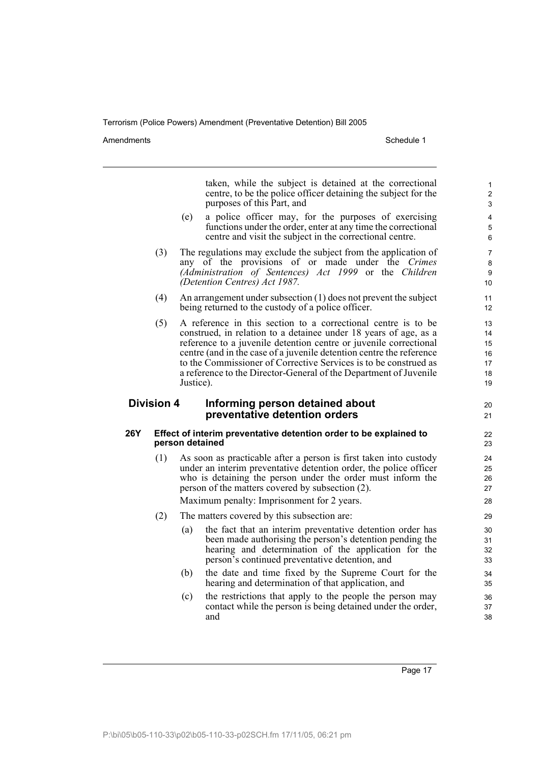Amendments **Amendments** Schedule 1

1

3

taken, while the subject is detained at the correctional centre, to be the police officer detaining the subject for the purposes of this Part, and (e) a police officer may, for the purposes of exercising functions under the order, enter at any time the correctional centre and visit the subject in the correctional centre. (3) The regulations may exclude the subject from the application of any of the provisions of or made under the *Crimes (Administration of Sentences) Act 1999* or the *Children (Detention Centres) Act 1987.* (4) An arrangement under subsection (1) does not prevent the subject being returned to the custody of a police officer. (5) A reference in this section to a correctional centre is to be construed, in relation to a detainee under 18 years of age, as a reference to a juvenile detention centre or juvenile correctional centre (and in the case of a juvenile detention centre the reference to the Commissioner of Corrective Services is to be construed as a reference to the Director-General of the Department of Juvenile Justice). **Division 4 Informing person detained about preventative detention orders 26Y Effect of interim preventative detention order to be explained to person detained** (1) As soon as practicable after a person is first taken into custody under an interim preventative detention order, the police officer who is detaining the person under the order must inform the person of the matters covered by subsection (2). Maximum penalty: Imprisonment for 2 years. (2) The matters covered by this subsection are: (a) the fact that an interim preventative detention order has been made authorising the person's detention pending the hearing and determination of the application for the person's continued preventative detention, and (b) the date and time fixed by the Supreme Court for the hearing and determination of that application, and (c) the restrictions that apply to the people the person may contact while the person is being detained under the order,  $\overline{2}$ 4 5 6 7 8  $\overline{Q}$ 10 11 12 13 14 15 16 17 18 19 20 21  $22$ 23 24 25 26 27 28 29 30 31 32 33  $34$ 35 36 37

Page 17

38

and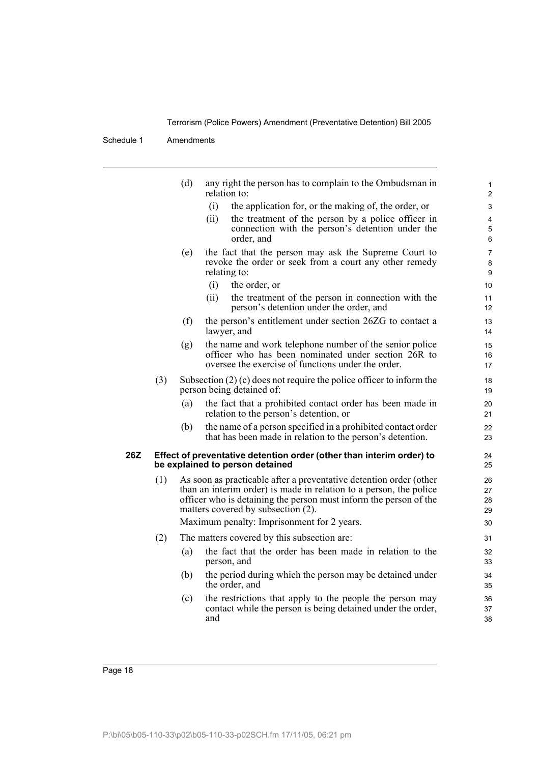Schedule 1 Amendments

| (d) | any right the person has to complain to the Ombudsman in |
|-----|----------------------------------------------------------|
|     | relation to:                                             |

(i) the application for, or the making of, the order, or

- (ii) the treatment of the person by a police officer in connection with the person's detention under the order, and
- (e) the fact that the person may ask the Supreme Court to revoke the order or seek from a court any other remedy relating to:
	- (i) the order, or
	- (ii) the treatment of the person in connection with the person's detention under the order, and
- (f) the person's entitlement under section 26ZG to contact a lawyer, and
- (g) the name and work telephone number of the senior police officer who has been nominated under section 26R to oversee the exercise of functions under the order.
- (3) Subsection (2) (c) does not require the police officer to inform the person being detained of:
	- (a) the fact that a prohibited contact order has been made in relation to the person's detention, or
	- (b) the name of a person specified in a prohibited contact order that has been made in relation to the person's detention.

#### **26Z Effect of preventative detention order (other than interim order) to be explained to person detained**

(1) As soon as practicable after a preventative detention order (other than an interim order) is made in relation to a person, the police officer who is detaining the person must inform the person of the matters covered by subsection (2).

Maximum penalty: Imprisonment for 2 years.

- (2) The matters covered by this subsection are:
	- (a) the fact that the order has been made in relation to the person, and
	- (b) the period during which the person may be detained under the order, and
	- (c) the restrictions that apply to the people the person may contact while the person is being detained under the order, and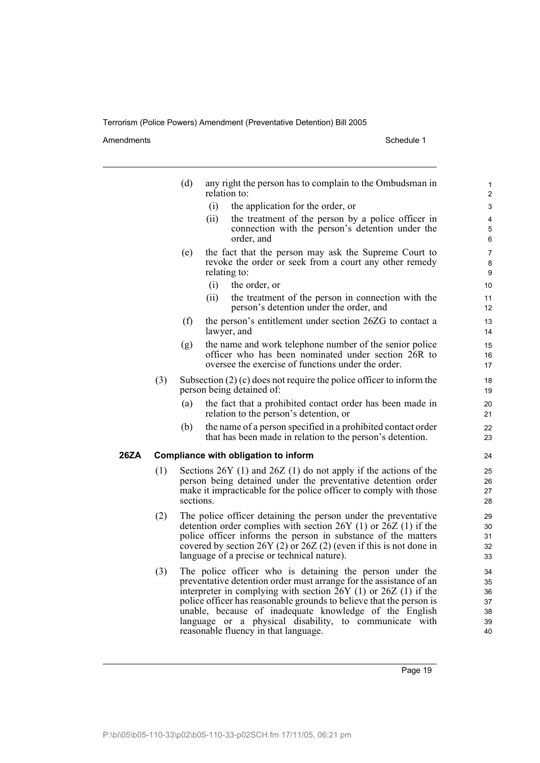Amendments Schedule 1

|      |     | (d)       | any right the person has to complain to the Ombudsman in<br>relation to:                                                                                                                                                                                                                                                                                                                                                               |
|------|-----|-----------|----------------------------------------------------------------------------------------------------------------------------------------------------------------------------------------------------------------------------------------------------------------------------------------------------------------------------------------------------------------------------------------------------------------------------------------|
|      |     |           | the application for the order, or<br>(i)                                                                                                                                                                                                                                                                                                                                                                                               |
|      |     |           | the treatment of the person by a police officer in<br>(ii)<br>connection with the person's detention under the<br>order, and                                                                                                                                                                                                                                                                                                           |
|      |     | (e)       | the fact that the person may ask the Supreme Court to<br>revoke the order or seek from a court any other remedy<br>relating to:                                                                                                                                                                                                                                                                                                        |
|      |     |           | the order, or<br>(i)                                                                                                                                                                                                                                                                                                                                                                                                                   |
|      |     |           | (ii)<br>the treatment of the person in connection with the<br>person's detention under the order, and                                                                                                                                                                                                                                                                                                                                  |
|      |     | (f)       | the person's entitlement under section 26ZG to contact a<br>lawyer, and                                                                                                                                                                                                                                                                                                                                                                |
|      |     | (g)       | the name and work telephone number of the senior police<br>officer who has been nominated under section 26R to<br>oversee the exercise of functions under the order.                                                                                                                                                                                                                                                                   |
|      | (3) |           | Subsection $(2)$ (c) does not require the police officer to inform the<br>person being detained of:                                                                                                                                                                                                                                                                                                                                    |
|      |     | (a)       | the fact that a prohibited contact order has been made in<br>relation to the person's detention, or                                                                                                                                                                                                                                                                                                                                    |
|      |     | (b)       | the name of a person specified in a prohibited contact order<br>that has been made in relation to the person's detention.                                                                                                                                                                                                                                                                                                              |
| 26ZA |     |           | Compliance with obligation to inform                                                                                                                                                                                                                                                                                                                                                                                                   |
|      | (1) | sections. | Sections $26Y(1)$ and $26Z(1)$ do not apply if the actions of the<br>person being detained under the preventative detention order<br>make it impracticable for the police officer to comply with those                                                                                                                                                                                                                                 |
|      | (2) |           | The police officer detaining the person under the preventative<br>detention order complies with section $26Y(1)$ or $26Z(1)$ if the<br>police officer informs the person in substance of the matters<br>covered by section $26Y(2)$ or $26Z(2)$ (even if this is not done in<br>language of a precise or technical nature).                                                                                                            |
|      | (3) |           | The police officer who is detaining the person under the<br>preventative detention order must arrange for the assistance of an<br>interpreter in complying with section $26Y(1)$ or $26Z(1)$ if the<br>police officer has reasonable grounds to believe that the person is<br>unable, because of inadequate knowledge of the English<br>language or a physical disability, to communicate with<br>reasonable fluency in that language. |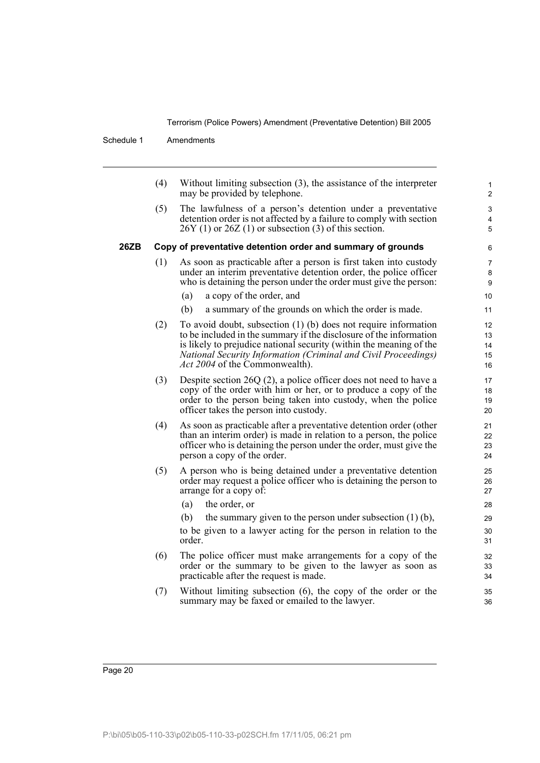#### Schedule 1 Amendments

|      | (4) | Without limiting subsection $(3)$ , the assistance of the interpreter<br>may be provided by telephone.                                                                                                                                                                                                                    | 1<br>$\overline{c}$        |
|------|-----|---------------------------------------------------------------------------------------------------------------------------------------------------------------------------------------------------------------------------------------------------------------------------------------------------------------------------|----------------------------|
|      | (5) | The lawfulness of a person's detention under a preventative<br>detention order is not affected by a failure to comply with section<br>$26Y(1)$ or $26Z(1)$ or subsection (3) of this section.                                                                                                                             | 3<br>4<br>$\sqrt{5}$       |
| 26ZB |     | Copy of preventative detention order and summary of grounds                                                                                                                                                                                                                                                               | 6                          |
|      | (1) | As soon as practicable after a person is first taken into custody<br>under an interim preventative detention order, the police officer<br>who is detaining the person under the order must give the person:                                                                                                               | 7<br>8<br>9                |
|      |     | a copy of the order, and<br>(a)                                                                                                                                                                                                                                                                                           | 10                         |
|      |     | (b)<br>a summary of the grounds on which the order is made.                                                                                                                                                                                                                                                               | 11                         |
|      | (2) | To avoid doubt, subsection $(1)$ (b) does not require information<br>to be included in the summary if the disclosure of the information<br>is likely to prejudice national security (within the meaning of the<br>National Security Information (Criminal and Civil Proceedings)<br><i>Act 2004</i> of the Commonwealth). | 12<br>13<br>14<br>15<br>16 |
|      | (3) | Despite section 26Q (2), a police officer does not need to have a<br>copy of the order with him or her, or to produce a copy of the<br>order to the person being taken into custody, when the police<br>officer takes the person into custody.                                                                            | 17<br>18<br>19<br>20       |
|      | (4) | As soon as practicable after a preventative detention order (other<br>than an interim order) is made in relation to a person, the police<br>officer who is detaining the person under the order, must give the<br>person a copy of the order.                                                                             | 21<br>22<br>23<br>24       |
|      | (5) | A person who is being detained under a preventative detention<br>order may request a police officer who is detaining the person to<br>arrange for a copy of:<br>(a)<br>the order, or                                                                                                                                      | 25<br>26<br>27             |
|      |     | (b)<br>the summary given to the person under subsection $(1)$ (b),                                                                                                                                                                                                                                                        | 28<br>29                   |
|      |     | to be given to a lawyer acting for the person in relation to the<br>order.                                                                                                                                                                                                                                                | 30<br>31                   |
|      | (6) | The police officer must make arrangements for a copy of the<br>order or the summary to be given to the lawyer as soon as<br>practicable after the request is made.                                                                                                                                                        | 32<br>33<br>34             |
|      | (7) | Without limiting subsection $(6)$ , the copy of the order or the<br>summary may be faxed or emailed to the lawyer.                                                                                                                                                                                                        | 35<br>36                   |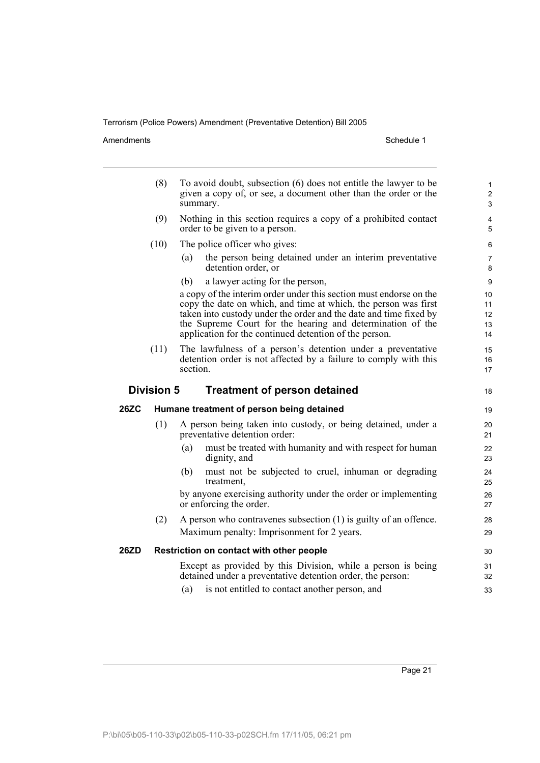Amendments Schedule 1

|      | (8)               | To avoid doubt, subsection (6) does not entitle the lawyer to be<br>given a copy of, or see, a document other than the order or the<br>summary.                                                                                                                                                                                    | $\mathbf{1}$<br>$\overline{2}$<br>3 |
|------|-------------------|------------------------------------------------------------------------------------------------------------------------------------------------------------------------------------------------------------------------------------------------------------------------------------------------------------------------------------|-------------------------------------|
|      | (9)               | Nothing in this section requires a copy of a prohibited contact<br>order to be given to a person.                                                                                                                                                                                                                                  | 4<br>5                              |
|      | (10)              | The police officer who gives:                                                                                                                                                                                                                                                                                                      | 6                                   |
|      |                   | the person being detained under an interim preventative<br>(a)<br>detention order, or                                                                                                                                                                                                                                              | $\overline{7}$<br>8                 |
|      |                   | a lawyer acting for the person,<br>(b)                                                                                                                                                                                                                                                                                             | $\boldsymbol{9}$                    |
|      |                   | a copy of the interim order under this section must endorse on the<br>copy the date on which, and time at which, the person was first<br>taken into custody under the order and the date and time fixed by<br>the Supreme Court for the hearing and determination of the<br>application for the continued detention of the person. | 10<br>11<br>12<br>13<br>14          |
|      | (11)              | The lawfulness of a person's detention under a preventative<br>detention order is not affected by a failure to comply with this<br>section.                                                                                                                                                                                        | 15<br>16<br>17                      |
|      | <b>Division 5</b> | <b>Treatment of person detained</b>                                                                                                                                                                                                                                                                                                | 18                                  |
| 26ZC |                   | Humane treatment of person being detained                                                                                                                                                                                                                                                                                          | 19                                  |
|      | (1)               | A person being taken into custody, or being detained, under a<br>preventative detention order:                                                                                                                                                                                                                                     | 20<br>21                            |
|      |                   | must be treated with humanity and with respect for human<br>(a)<br>dignity, and                                                                                                                                                                                                                                                    | 22<br>23                            |
|      |                   | must not be subjected to cruel, inhuman or degrading<br>(b)<br>treatment.                                                                                                                                                                                                                                                          | 24<br>25                            |
|      |                   | by anyone exercising authority under the order or implementing<br>or enforcing the order.                                                                                                                                                                                                                                          | 26<br>27                            |
|      | (2)               | A person who contravenes subsection (1) is guilty of an offence.<br>Maximum penalty: Imprisonment for 2 years.                                                                                                                                                                                                                     | 28<br>29                            |
| 26ZD |                   | Restriction on contact with other people                                                                                                                                                                                                                                                                                           | 30                                  |
|      |                   | Except as provided by this Division, while a person is being<br>detained under a preventative detention order, the person:                                                                                                                                                                                                         | 31<br>32                            |
|      |                   | is not entitled to contact another person, and<br>(a)                                                                                                                                                                                                                                                                              | 33                                  |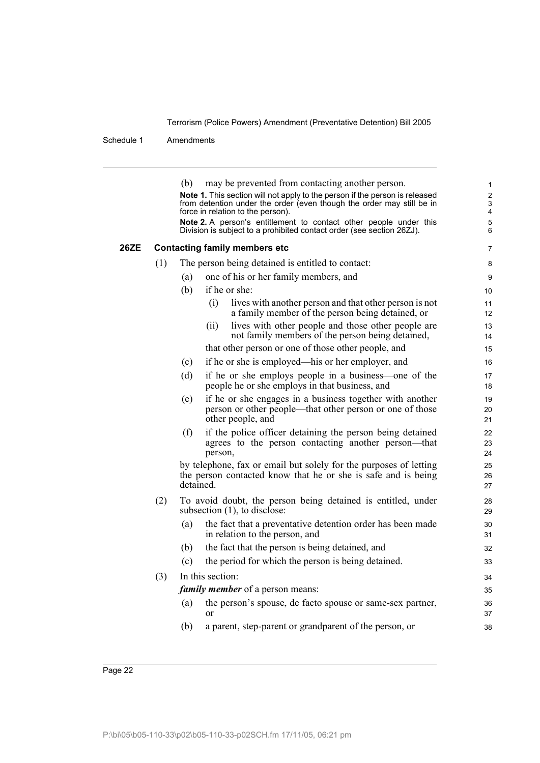#### Schedule 1 Amendments

|      |     | (b)       | may be prevented from contacting another person.                                                                                                                                          | $\mathbf{1}$             |
|------|-----|-----------|-------------------------------------------------------------------------------------------------------------------------------------------------------------------------------------------|--------------------------|
|      |     |           | Note 1. This section will not apply to the person if the person is released<br>from detention under the order (even though the order may still be in<br>force in relation to the person). | $\overline{2}$<br>3<br>4 |
|      |     |           | Note 2. A person's entitlement to contact other people under this<br>Division is subject to a prohibited contact order (see section 26ZJ).                                                | 5<br>6                   |
| 26ZE |     |           | <b>Contacting family members etc</b>                                                                                                                                                      | 7                        |
|      | (1) |           | The person being detained is entitled to contact:                                                                                                                                         | 8                        |
|      |     | (a)       | one of his or her family members, and                                                                                                                                                     | 9                        |
|      |     | (b)       | if he or she:                                                                                                                                                                             | 10                       |
|      |     |           | (i)<br>lives with another person and that other person is not<br>a family member of the person being detained, or                                                                         | 11<br>12                 |
|      |     |           | lives with other people and those other people are<br>(ii)<br>not family members of the person being detained,                                                                            | 13<br>14                 |
|      |     |           | that other person or one of those other people, and                                                                                                                                       | 15                       |
|      |     | (c)       | if he or she is employed—his or her employer, and                                                                                                                                         | 16                       |
|      |     | (d)       | if he or she employs people in a business—one of the<br>people he or she employs in that business, and                                                                                    | 17<br>18                 |
|      |     | (e)       | if he or she engages in a business together with another<br>person or other people—that other person or one of those<br>other people, and                                                 | 19<br>20<br>21           |
|      |     | (f)       | if the police officer detaining the person being detained<br>agrees to the person contacting another person—that<br>person,                                                               | 22<br>23<br>24           |
|      |     | detained. | by telephone, fax or email but solely for the purposes of letting<br>the person contacted know that he or she is safe and is being                                                        | 25<br>26<br>27           |
|      | (2) |           | To avoid doubt, the person being detained is entitled, under<br>subsection $(1)$ , to disclose:                                                                                           | 28<br>29                 |
|      |     | (a)       | the fact that a preventative detention order has been made<br>in relation to the person, and                                                                                              | 30<br>31                 |
|      |     | (b)       | the fact that the person is being detained, and                                                                                                                                           | 32                       |
|      |     | (c)       | the period for which the person is being detained.                                                                                                                                        | 33                       |
|      | (3) |           | In this section:                                                                                                                                                                          | 34                       |
|      |     |           | <i>family member</i> of a person means:                                                                                                                                                   | 35                       |
|      |     | (a)       | the person's spouse, de facto spouse or same-sex partner,<br>or                                                                                                                           | 36<br>37                 |
|      |     | (b)       | a parent, step-parent or grandparent of the person, or                                                                                                                                    | 38                       |
|      |     |           |                                                                                                                                                                                           |                          |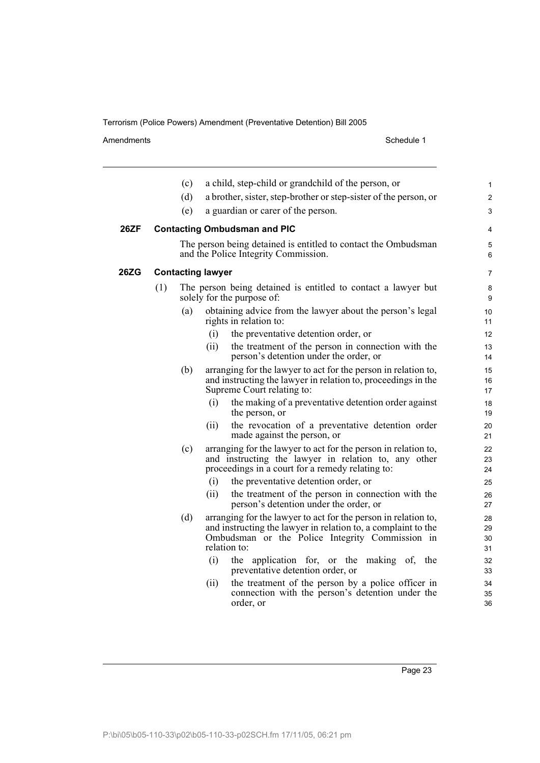Amendments Schedule 1

|             |     | (c) |                          | a child, step-child or grandchild of the person, or                                                                                                                                | $\mathbf{1}$         |
|-------------|-----|-----|--------------------------|------------------------------------------------------------------------------------------------------------------------------------------------------------------------------------|----------------------|
|             |     | (d) |                          | a brother, sister, step-brother or step-sister of the person, or                                                                                                                   | $\overline{2}$       |
|             |     | (e) |                          | a guardian or carer of the person.                                                                                                                                                 | 3                    |
| 26ZF        |     |     |                          | <b>Contacting Ombudsman and PIC</b>                                                                                                                                                | 4                    |
|             |     |     |                          | The person being detained is entitled to contact the Ombudsman<br>and the Police Integrity Commission.                                                                             | 5<br>6               |
| <b>26ZG</b> |     |     | <b>Contacting lawyer</b> |                                                                                                                                                                                    | 7                    |
|             | (1) |     |                          | The person being detained is entitled to contact a lawyer but<br>solely for the purpose of:                                                                                        | 8<br>9               |
|             |     | (a) |                          | obtaining advice from the lawyer about the person's legal<br>rights in relation to:                                                                                                | 10<br>11             |
|             |     |     | (i)                      | the preventative detention order, or                                                                                                                                               | 12                   |
|             |     |     | (ii)                     | the treatment of the person in connection with the<br>person's detention under the order, or                                                                                       | 13<br>14             |
|             |     | (b) |                          | arranging for the lawyer to act for the person in relation to,<br>and instructing the lawyer in relation to, proceedings in the<br>Supreme Court relating to:                      | 15<br>16<br>17       |
|             |     |     | (i)                      | the making of a preventative detention order against<br>the person, or                                                                                                             | 18<br>19             |
|             |     |     | (i)                      | the revocation of a preventative detention order<br>made against the person, or                                                                                                    | 20<br>21             |
|             |     | (c) |                          | arranging for the lawyer to act for the person in relation to,<br>and instructing the lawyer in relation to, any other<br>proceedings in a court for a remedy relating to:         | 22<br>23<br>24       |
|             |     |     | (i)                      | the preventative detention order, or                                                                                                                                               | 25                   |
|             |     |     | (ii)                     | the treatment of the person in connection with the<br>person's detention under the order, or                                                                                       | 26<br>27             |
|             |     | (d) | relation to:             | arranging for the lawyer to act for the person in relation to,<br>and instructing the lawyer in relation to, a complaint to the<br>Ombudsman or the Police Integrity Commission in | 28<br>29<br>30<br>31 |
|             |     |     | (i)                      | the<br>application for, or the making of, the<br>preventative detention order, or                                                                                                  | 32<br>33             |
|             |     |     | (ii)                     | the treatment of the person by a police officer in<br>connection with the person's detention under the<br>order, or                                                                | 34<br>35<br>36       |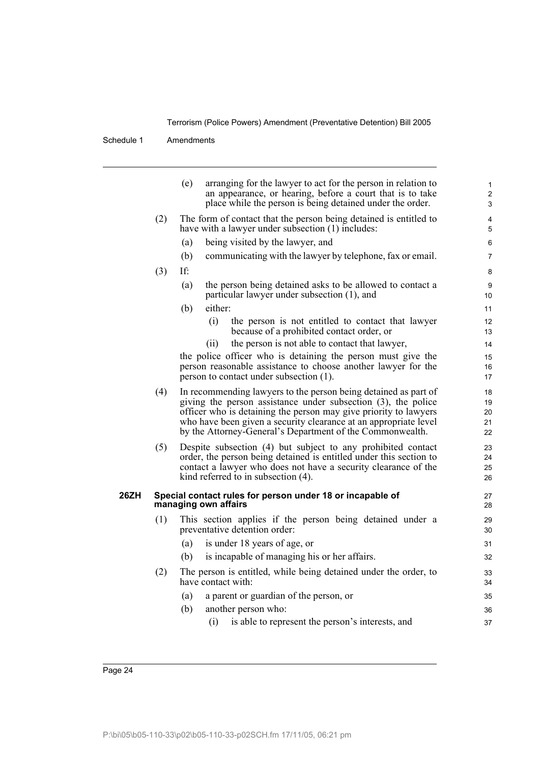#### Schedule 1 Amendments

|      |     | (e)<br>arranging for the lawyer to act for the person in relation to<br>an appearance, or hearing, before a court that is to take<br>place while the person is being detained under the order. | $\mathbf{1}$<br>$\overline{2}$<br>3 |
|------|-----|------------------------------------------------------------------------------------------------------------------------------------------------------------------------------------------------|-------------------------------------|
|      | (2) | The form of contact that the person being detained is entitled to<br>have with a lawyer under subsection (1) includes:                                                                         | 4<br>5                              |
|      |     | being visited by the lawyer, and<br>(a)                                                                                                                                                        | 6                                   |
|      |     | (b)<br>communicating with the lawyer by telephone, fax or email.                                                                                                                               | $\overline{7}$                      |
|      | (3) | If:                                                                                                                                                                                            | 8                                   |
|      |     | (a)<br>the person being detained asks to be allowed to contact a<br>particular lawyer under subsection (1), and                                                                                | 9<br>10 <sup>1</sup>                |
|      |     | (b)<br>either:                                                                                                                                                                                 | 11                                  |
|      |     | (i)<br>the person is not entitled to contact that lawyer<br>because of a prohibited contact order, or                                                                                          | 12<br>13                            |
|      |     | the person is not able to contact that lawyer,<br>(i)                                                                                                                                          | 14                                  |
|      |     | the police officer who is detaining the person must give the                                                                                                                                   | 15                                  |
|      |     | person reasonable assistance to choose another lawyer for the<br>person to contact under subsection (1).                                                                                       | 16<br>17                            |
|      | (4) | In recommending lawyers to the person being detained as part of                                                                                                                                | 18                                  |
|      |     | giving the person assistance under subsection (3), the police<br>officer who is detaining the person may give priority to lawyers                                                              | 19<br>20                            |
|      |     | who have been given a security clearance at an appropriate level                                                                                                                               | 21                                  |
|      |     | by the Attorney-General's Department of the Commonwealth.                                                                                                                                      | 22                                  |
|      | (5) | Despite subsection (4) but subject to any prohibited contact                                                                                                                                   | 23                                  |
|      |     | order, the person being detained is entitled under this section to<br>contact a lawyer who does not have a security clearance of the                                                           | 24<br>25                            |
|      |     | kind referred to in subsection (4).                                                                                                                                                            | 26                                  |
| 26ZH |     | Special contact rules for person under 18 or incapable of                                                                                                                                      | 27                                  |
|      |     | managing own affairs                                                                                                                                                                           | 28                                  |
|      | (1) | This section applies if the person being detained under a<br>preventative detention order:                                                                                                     | 29<br>30                            |
|      |     | is under 18 years of age, or<br>(a)                                                                                                                                                            | 31                                  |
|      |     | is incapable of managing his or her affairs.<br>(b)                                                                                                                                            | 32                                  |
|      | (2) | The person is entitled, while being detained under the order, to<br>have contact with:                                                                                                         | 33<br>34                            |
|      |     | a parent or guardian of the person, or<br>(a)                                                                                                                                                  | 35                                  |
|      |     | (b)<br>another person who:                                                                                                                                                                     | 36                                  |
|      |     | (i)<br>is able to represent the person's interests, and                                                                                                                                        | 37                                  |
|      |     |                                                                                                                                                                                                |                                     |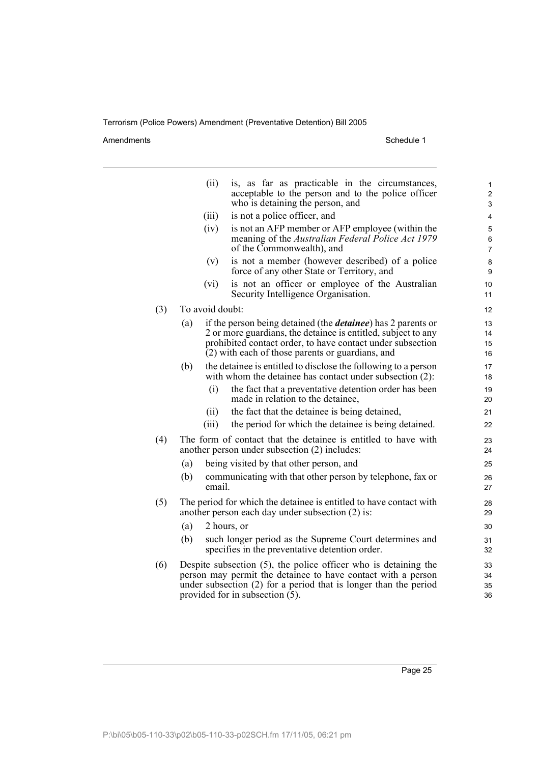Amendments Schedule 1

 $(3)$ 

|     |     | (ii)            | is, as far as practicable in the circumstances,<br>acceptable to the person and to the police officer                                                                                                                                                     | 1<br>$\overline{2}$      |
|-----|-----|-----------------|-----------------------------------------------------------------------------------------------------------------------------------------------------------------------------------------------------------------------------------------------------------|--------------------------|
|     |     |                 | who is detaining the person, and                                                                                                                                                                                                                          | 3                        |
|     |     | (iii)           | is not a police officer, and                                                                                                                                                                                                                              | 4                        |
|     |     | (iv)            | is not an AFP member or AFP employee (within the<br>meaning of the Australian Federal Police Act 1979<br>of the Commonwealth), and                                                                                                                        | 5<br>6<br>$\overline{7}$ |
|     |     | (v)             | is not a member (however described) of a police<br>force of any other State or Territory, and                                                                                                                                                             | 8<br>9                   |
|     |     | (vi)            | is not an officer or employee of the Australian<br>Security Intelligence Organisation.                                                                                                                                                                    | 10<br>11                 |
| (3) |     | To avoid doubt: |                                                                                                                                                                                                                                                           | 12                       |
|     | (a) |                 | if the person being detained (the <i>detainee</i> ) has 2 parents or<br>2 or more guardians, the detainee is entitled, subject to any<br>prohibited contact order, to have contact under subsection<br>$(2)$ with each of those parents or guardians, and | 13<br>14<br>15<br>16     |
|     | (b) |                 | the detainee is entitled to disclose the following to a person<br>with whom the detainee has contact under subsection (2):                                                                                                                                | 17<br>18                 |
|     |     | (i)             | the fact that a preventative detention order has been<br>made in relation to the detainee,                                                                                                                                                                | 19<br>20                 |
|     |     | (ii)            | the fact that the detainee is being detained,                                                                                                                                                                                                             | 21                       |
|     |     | (iii)           | the period for which the detainee is being detained.                                                                                                                                                                                                      | 22                       |
| (4) |     |                 | The form of contact that the detainee is entitled to have with<br>another person under subsection (2) includes:                                                                                                                                           | 23<br>24                 |
|     | (a) |                 | being visited by that other person, and                                                                                                                                                                                                                   | 25                       |
|     | (b) | email.          | communicating with that other person by telephone, fax or                                                                                                                                                                                                 | 26<br>27                 |
| (5) |     |                 | The period for which the detainee is entitled to have contact with<br>another person each day under subsection (2) is:                                                                                                                                    | 28<br>29                 |
|     | (a) |                 | 2 hours, or                                                                                                                                                                                                                                               | 30                       |
|     | (b) |                 | such longer period as the Supreme Court determines and<br>specifies in the preventative detention order.                                                                                                                                                  | 31<br>32                 |
| (6) |     |                 | Despite subsection (5), the police officer who is detaining the<br>person may permit the detainee to have contact with a person<br>under subsection (2) for a period that is longer than the period<br>provided for in subsection (5).                    | 33<br>34<br>35<br>36     |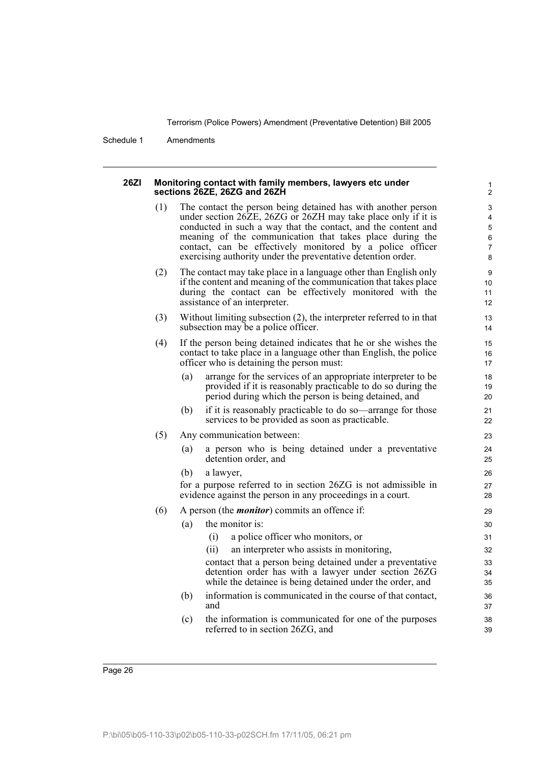Schedule 1 Amendments

#### **26ZI Monitoring contact with family members, lawyers etc under sections 26ZE, 26ZG and 26ZH**

(1) The contact the person being detained has with another person under section 26ZE, 26ZG or 26ZH may take place only if it is conducted in such a way that the contact, and the content and meaning of the communication that takes place during the contact, can be effectively monitored by a police officer exercising authority under the preventative detention order.

- (2) The contact may take place in a language other than English only if the content and meaning of the communication that takes place during the contact can be effectively monitored with the assistance of an interpreter.
- (3) Without limiting subsection (2), the interpreter referred to in that subsection may be a police officer.
- (4) If the person being detained indicates that he or she wishes the contact to take place in a language other than English, the police officer who is detaining the person must:
	- (a) arrange for the services of an appropriate interpreter to be provided if it is reasonably practicable to do so during the period during which the person is being detained, and
	- (b) if it is reasonably practicable to do so—arrange for those services to be provided as soon as practicable.
- (5) Any communication between:
	- (a) a person who is being detained under a preventative detention order, and
	- (b) a lawyer,

for a purpose referred to in section 26ZG is not admissible in evidence against the person in any proceedings in a court.

- (6) A person (the *monitor*) commits an offence if:
	- (a) the monitor is:
		- (i) a police officer who monitors, or (ii) an interpreter who assists in monitoring,
		- contact that a person being detained under a preventative detention order has with a lawyer under section 26ZG while the detainee is being detained under the order, and
	- (b) information is communicated in the course of that contact, and
	- (c) the information is communicated for one of the purposes referred to in section 26ZG, and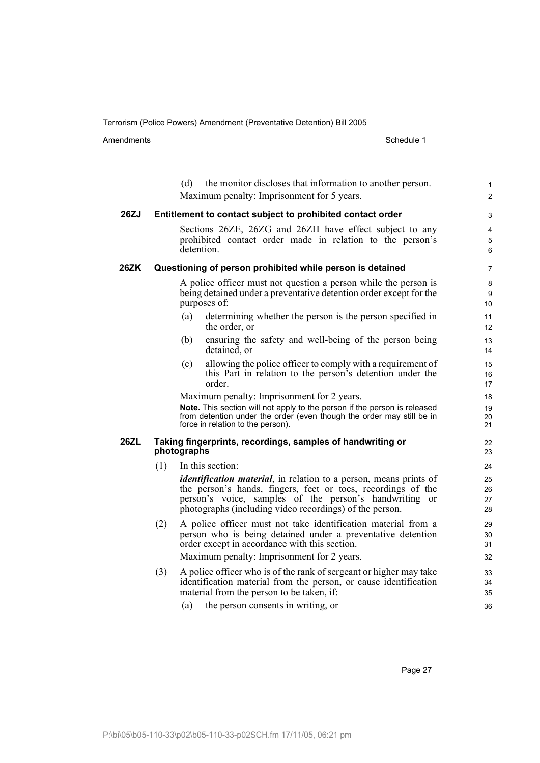Amendments Schedule 1

|             |             | the monitor discloses that information to another person.<br>(d)                                                                                                                                                                                                             | 1                    |
|-------------|-------------|------------------------------------------------------------------------------------------------------------------------------------------------------------------------------------------------------------------------------------------------------------------------------|----------------------|
|             |             | Maximum penalty: Imprisonment for 5 years.                                                                                                                                                                                                                                   | $\overline{2}$       |
| <b>26ZJ</b> |             | Entitlement to contact subject to prohibited contact order                                                                                                                                                                                                                   | 3                    |
|             |             | Sections 26ZE, 26ZG and 26ZH have effect subject to any<br>prohibited contact order made in relation to the person's<br>detention.                                                                                                                                           | 4<br>5<br>6          |
| 26ZK        |             | Questioning of person prohibited while person is detained                                                                                                                                                                                                                    | 7                    |
|             |             | A police officer must not question a person while the person is<br>being detained under a preventative detention order except for the<br>purposes of:                                                                                                                        | 8<br>9<br>10         |
|             |             | (a)<br>determining whether the person is the person specified in<br>the order, or                                                                                                                                                                                            | 11<br>12             |
|             |             | ensuring the safety and well-being of the person being<br>(b)<br>detained, or                                                                                                                                                                                                | 13<br>14             |
|             |             | allowing the police officer to comply with a requirement of<br>(c)<br>this Part in relation to the person's detention under the<br>order.                                                                                                                                    | 15<br>16<br>17       |
|             |             | Maximum penalty: Imprisonment for 2 years.                                                                                                                                                                                                                                   | 18                   |
|             |             | Note. This section will not apply to the person if the person is released<br>from detention under the order (even though the order may still be in<br>force in relation to the person).                                                                                      | 19<br>20<br>21       |
| 26ZL        | photographs | Taking fingerprints, recordings, samples of handwriting or                                                                                                                                                                                                                   | 22<br>23             |
|             | (1)         | In this section:                                                                                                                                                                                                                                                             | 24                   |
|             |             | <i>identification material</i> , in relation to a person, means prints of<br>the person's hands, fingers, feet or toes, recordings of the<br>person's voice, samples of the person's handwriting<br><sub>or</sub><br>photographs (including video recordings) of the person. | 25<br>26<br>27<br>28 |
|             | (2)         | A police officer must not take identification material from a<br>person who is being detained under a preventative detention<br>order except in accordance with this section.                                                                                                | 29<br>30<br>31       |
|             |             | Maximum penalty: Imprisonment for 2 years.                                                                                                                                                                                                                                   | 32                   |
|             | (3)         | A police officer who is of the rank of sergeant or higher may take<br>identification material from the person, or cause identification<br>material from the person to be taken, if:                                                                                          | 33<br>34<br>35       |
|             |             | (a)<br>the person consents in writing, or                                                                                                                                                                                                                                    | 36                   |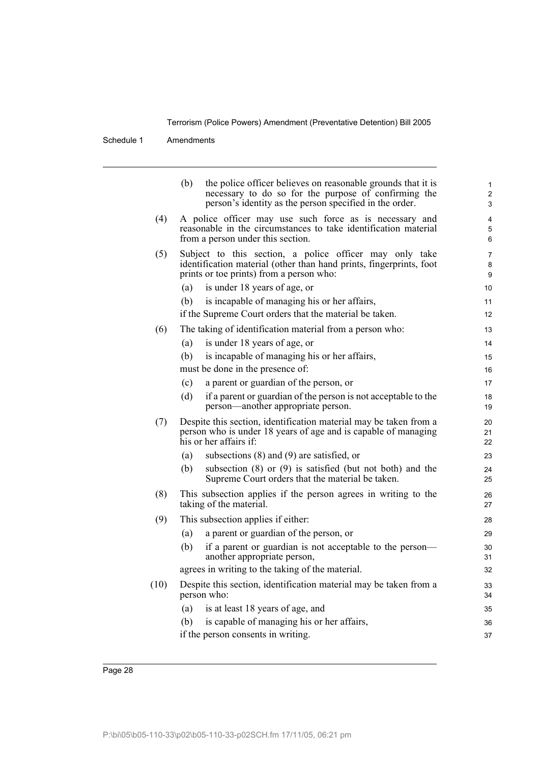Schedule 1 Amendments

|      | the police officer believes on reasonable grounds that it is<br>(b)<br>necessary to do so for the purpose of confirming the<br>person's identity as the person specified in the order. | 1<br>$\overline{2}$<br>3 |
|------|----------------------------------------------------------------------------------------------------------------------------------------------------------------------------------------|--------------------------|
| (4)  | A police officer may use such force as is necessary and<br>reasonable in the circumstances to take identification material<br>from a person under this section.                        | 4<br>5<br>6              |
| (5)  | Subject to this section, a police officer may only take<br>identification material (other than hand prints, fingerprints, foot<br>prints or toe prints) from a person who:             | 7<br>8<br>9              |
|      | is under 18 years of age, or<br>(a)                                                                                                                                                    | 10                       |
|      | is incapable of managing his or her affairs,<br>(b)                                                                                                                                    | 11                       |
|      | if the Supreme Court orders that the material be taken.                                                                                                                                | 12                       |
| (6)  | The taking of identification material from a person who:                                                                                                                               | 13                       |
|      | is under 18 years of age, or<br>(a)                                                                                                                                                    | 14                       |
|      | is incapable of managing his or her affairs,<br>(b)                                                                                                                                    | 15                       |
|      | must be done in the presence of:                                                                                                                                                       | 16                       |
|      | a parent or guardian of the person, or<br>(c)                                                                                                                                          | 17                       |
|      | if a parent or guardian of the person is not acceptable to the<br>(d)<br>person—another appropriate person.                                                                            | 18<br>19                 |
| (7)  | Despite this section, identification material may be taken from a<br>person who is under 18 years of age and is capable of managing<br>his or her affairs if:                          | 20<br>21<br>22           |
|      | subsections $(8)$ and $(9)$ are satisfied, or<br>(a)                                                                                                                                   | 23                       |
|      | (b)<br>subsection $(8)$ or $(9)$ is satisfied (but not both) and the<br>Supreme Court orders that the material be taken.                                                               | 24<br>25                 |
| (8)  | This subsection applies if the person agrees in writing to the<br>taking of the material.                                                                                              | 26<br>27                 |
| (9)  | This subsection applies if either:                                                                                                                                                     | 28                       |
|      | a parent or guardian of the person, or<br>(a)                                                                                                                                          | 29                       |
|      | if a parent or guardian is not acceptable to the person—<br>(b)<br>another appropriate person,                                                                                         | 30<br>31                 |
|      | agrees in writing to the taking of the material.                                                                                                                                       | 32                       |
| (10) | Despite this section, identification material may be taken from a<br>person who:                                                                                                       | 33<br>34                 |
|      | (a)<br>is at least 18 years of age, and                                                                                                                                                | 35                       |
|      | is capable of managing his or her affairs,<br>(b)                                                                                                                                      | 36                       |
|      | if the person consents in writing.                                                                                                                                                     | 37                       |
|      |                                                                                                                                                                                        |                          |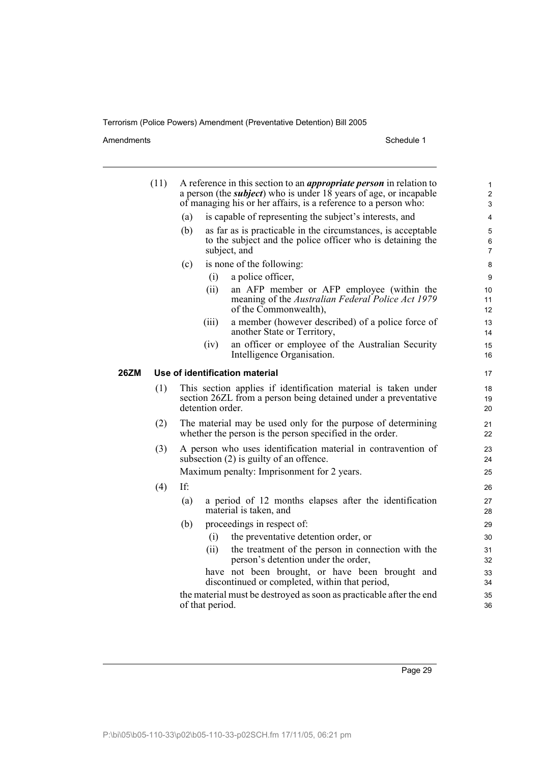#### Amendments Schedule 1

|      | (11) | A reference in this section to an <i>appropriate person</i> in relation to<br>a person (the <i>subject</i> ) who is under 18 years of age, or incapable<br>of managing his or her affairs, is a reference to a person who: | $\mathbf{1}$<br>$\overline{2}$<br>3 |
|------|------|----------------------------------------------------------------------------------------------------------------------------------------------------------------------------------------------------------------------------|-------------------------------------|
|      |      | is capable of representing the subject's interests, and<br>(a)                                                                                                                                                             | 4                                   |
|      |      | as far as is practicable in the circumstances, is acceptable<br>(b)<br>to the subject and the police officer who is detaining the<br>subject, and                                                                          | 5<br>6<br>$\overline{7}$            |
|      |      | is none of the following:<br>(c)                                                                                                                                                                                           | 8                                   |
|      |      | a police officer,<br>(i)                                                                                                                                                                                                   | 9                                   |
|      |      | an AFP member or AFP employee (within the<br>(ii)<br>meaning of the Australian Federal Police Act 1979<br>of the Commonwealth),                                                                                            | 10<br>11<br>12                      |
|      |      | a member (however described) of a police force of<br>(111)<br>another State or Territory,                                                                                                                                  | 13<br>14                            |
|      |      | an officer or employee of the Australian Security<br>(iv)<br>Intelligence Organisation.                                                                                                                                    | 15<br>16                            |
| 26ZM |      | Use of identification material                                                                                                                                                                                             | 17                                  |
|      | (1)  | This section applies if identification material is taken under<br>section 26ZL from a person being detained under a preventative<br>detention order.                                                                       | 18<br>19<br>20                      |
|      | (2)  | The material may be used only for the purpose of determining<br>whether the person is the person specified in the order.                                                                                                   | 21<br>22                            |
|      | (3)  | A person who uses identification material in contravention of<br>subsection $(2)$ is guilty of an offence.                                                                                                                 | 23<br>24                            |
|      |      | Maximum penalty: Imprisonment for 2 years.                                                                                                                                                                                 | 25                                  |
|      | (4)  | If:                                                                                                                                                                                                                        | 26                                  |
|      |      | (a)<br>a period of 12 months elapses after the identification<br>material is taken, and                                                                                                                                    | 27<br>28                            |
|      |      | (b)<br>proceedings in respect of:                                                                                                                                                                                          | 29                                  |
|      |      | the preventative detention order, or<br>(i)                                                                                                                                                                                | 30                                  |
|      |      | the treatment of the person in connection with the<br>(ii)<br>person's detention under the order,                                                                                                                          | 31<br>32                            |
|      |      | have not been brought, or have been brought and<br>discontinued or completed, within that period,                                                                                                                          | 33<br>34                            |
|      |      | the material must be destroyed as soon as practicable after the end<br>of that period.                                                                                                                                     | 35<br>36                            |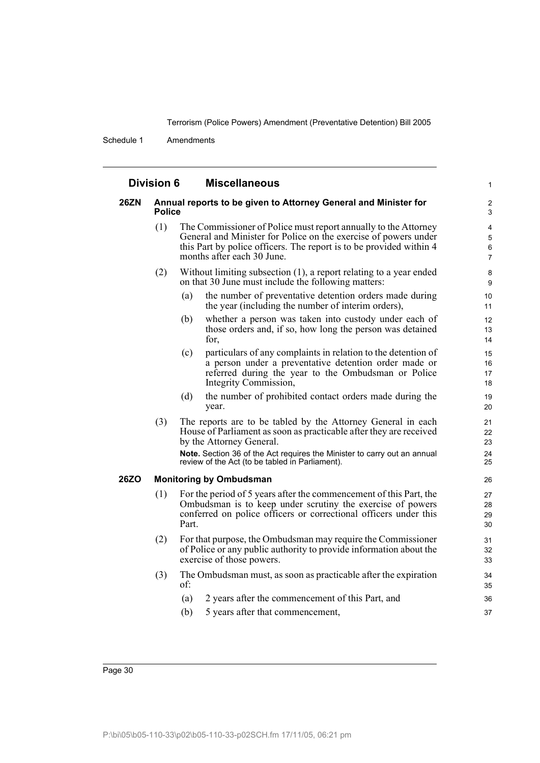Schedule 1 Amendments

#### **26ZN Annual reports to be given to Attorney General and Minister for Police**

- (1) The Commissioner of Police must report annually to the Attorney General and Minister for Police on the exercise of powers under this Part by police officers. The report is to be provided within 4 months after each 30 June.
- (2) Without limiting subsection (1), a report relating to a year ended on that 30 June must include the following matters:
	- (a) the number of preventative detention orders made during the year (including the number of interim orders),

1

- (b) whether a person was taken into custody under each of those orders and, if so, how long the person was detained for,
- (c) particulars of any complaints in relation to the detention of a person under a preventative detention order made or referred during the year to the Ombudsman or Police Integrity Commission,
- (d) the number of prohibited contact orders made during the year.
- (3) The reports are to be tabled by the Attorney General in each House of Parliament as soon as practicable after they are received by the Attorney General.

**Note.** Section 36 of the Act requires the Minister to carry out an annual review of the Act (to be tabled in Parliament).

#### **26ZO Monitoring by Ombudsman**

- (1) For the period of 5 years after the commencement of this Part, the Ombudsman is to keep under scrutiny the exercise of powers conferred on police officers or correctional officers under this Part.
- (2) For that purpose, the Ombudsman may require the Commissioner of Police or any public authority to provide information about the exercise of those powers.
- (3) The Ombudsman must, as soon as practicable after the expiration of:
	- (a) 2 years after the commencement of this Part, and
	- (b) 5 years after that commencement,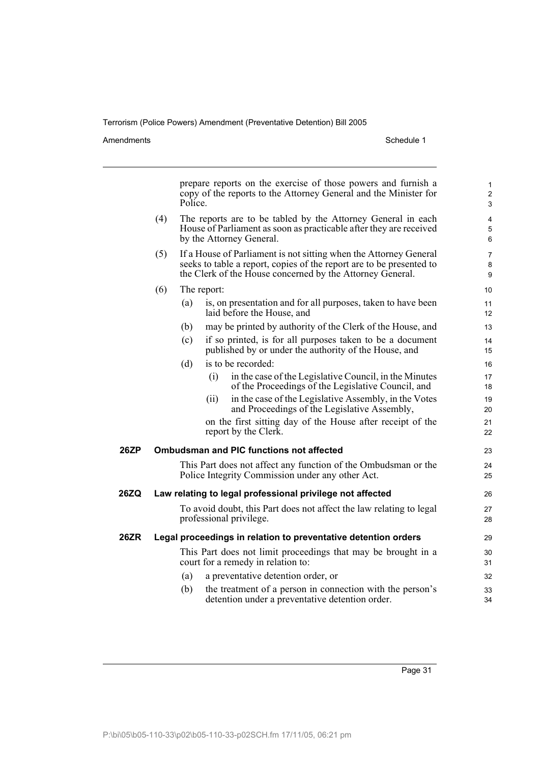Amendments Schedule 1

|             |                                                                                                                    | Police.                                                                                                                                                                                                | prepare reports on the exercise of those powers and furnish a<br>copy of the reports to the Attorney General and the Minister for | $\mathbf{1}$<br>2<br>3 |  |  |
|-------------|--------------------------------------------------------------------------------------------------------------------|--------------------------------------------------------------------------------------------------------------------------------------------------------------------------------------------------------|-----------------------------------------------------------------------------------------------------------------------------------|------------------------|--|--|
|             | (4)                                                                                                                | The reports are to be tabled by the Attorney General in each<br>House of Parliament as soon as practicable after they are received<br>by the Attorney General.                                         |                                                                                                                                   |                        |  |  |
|             | (5)                                                                                                                | If a House of Parliament is not sitting when the Attorney General<br>seeks to table a report, copies of the report are to be presented to<br>the Clerk of the House concerned by the Attorney General. |                                                                                                                                   |                        |  |  |
|             | (6)                                                                                                                | The report:                                                                                                                                                                                            |                                                                                                                                   |                        |  |  |
|             |                                                                                                                    | (a)                                                                                                                                                                                                    | is, on presentation and for all purposes, taken to have been<br>laid before the House, and                                        | 11<br>12               |  |  |
|             |                                                                                                                    | (b)                                                                                                                                                                                                    | may be printed by authority of the Clerk of the House, and                                                                        | 13                     |  |  |
|             |                                                                                                                    | (c)                                                                                                                                                                                                    | if so printed, is for all purposes taken to be a document<br>published by or under the authority of the House, and                | 14<br>15               |  |  |
|             |                                                                                                                    | (d)                                                                                                                                                                                                    | is to be recorded:                                                                                                                | 16                     |  |  |
|             |                                                                                                                    |                                                                                                                                                                                                        | in the case of the Legislative Council, in the Minutes<br>(i)<br>of the Proceedings of the Legislative Council, and               | 17<br>18               |  |  |
|             |                                                                                                                    |                                                                                                                                                                                                        | in the case of the Legislative Assembly, in the Votes<br>(11)<br>and Proceedings of the Legislative Assembly,                     | 19<br>20               |  |  |
|             |                                                                                                                    |                                                                                                                                                                                                        | on the first sitting day of the House after receipt of the<br>report by the Clerk.                                                | 21<br>22               |  |  |
| <b>26ZP</b> | <b>Ombudsman and PIC functions not affected</b>                                                                    |                                                                                                                                                                                                        |                                                                                                                                   |                        |  |  |
|             | This Part does not affect any function of the Ombudsman or the<br>Police Integrity Commission under any other Act. |                                                                                                                                                                                                        |                                                                                                                                   |                        |  |  |
| 26ZQ        | Law relating to legal professional privilege not affected                                                          |                                                                                                                                                                                                        |                                                                                                                                   |                        |  |  |
|             | To avoid doubt, this Part does not affect the law relating to legal<br>professional privilege.                     |                                                                                                                                                                                                        |                                                                                                                                   |                        |  |  |
| <b>26ZR</b> | Legal proceedings in relation to preventative detention orders                                                     |                                                                                                                                                                                                        |                                                                                                                                   |                        |  |  |
|             | This Part does not limit proceedings that may be brought in a<br>court for a remedy in relation to:                |                                                                                                                                                                                                        |                                                                                                                                   |                        |  |  |
|             |                                                                                                                    | (a)                                                                                                                                                                                                    | a preventative detention order, or                                                                                                | 32                     |  |  |
|             |                                                                                                                    | (b)                                                                                                                                                                                                    | the treatment of a person in connection with the person's<br>detention under a preventative detention order.                      | 33<br>34               |  |  |